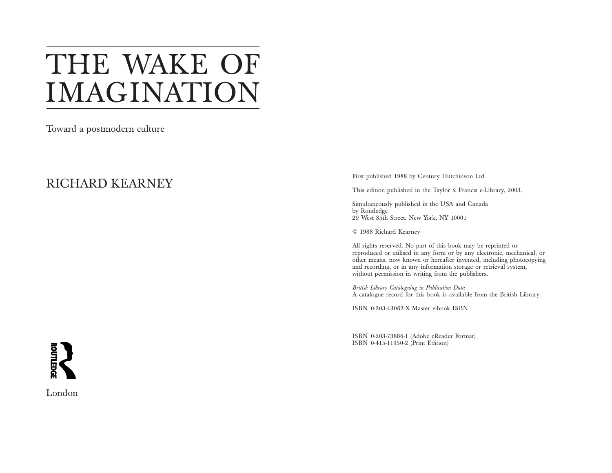# THE WAKE OF IMAGINATION

Toward a postmodern culture

# RICHARD KEARNEY

First published 1988 by Century Hutchinson Ltd

This edition published in the Taylor & Francis e-Library, 2003.

Simultaneously published in the USA and Canada by Routledge 29 West 35th Street, New York, NY 10001

© 1988 Richard Kearney

All rights reserved. No part of this book may be reprinted or reproduced or utilised in any form or by any electronic, mechanical, or other means, now known or hereafter invented, including photocopying and recording, or in any information storage or retrieval system, without permission in writing from the publishers.

*British Library Cataloguing in Publication Data* A catalogue record for this book is available from the British Library

ISBN 0-203-43062-X Master e-book ISBN

ISBN 0-203-73886-1 (Adobe eReader Format) ISBN 0-415-11950-2 (Print Edition)

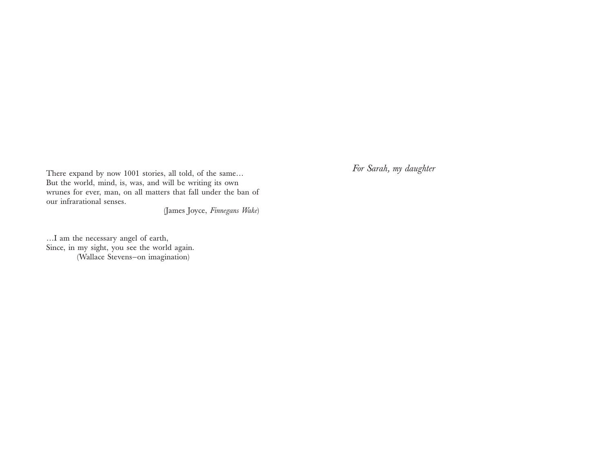There expand by now 1001 stories, all told, of the same… But the world, mind, is, was, and will be writing its own wrunes for ever, man, on all matters that fall under the ban of our infrarational senses.

(James Joyce, *Finnegans Wake*)

…I am the necessary angel of earth, Since, in my sight, you see the world again. (Wallace Stevens—on imagination)

*For Sarah, my daughter*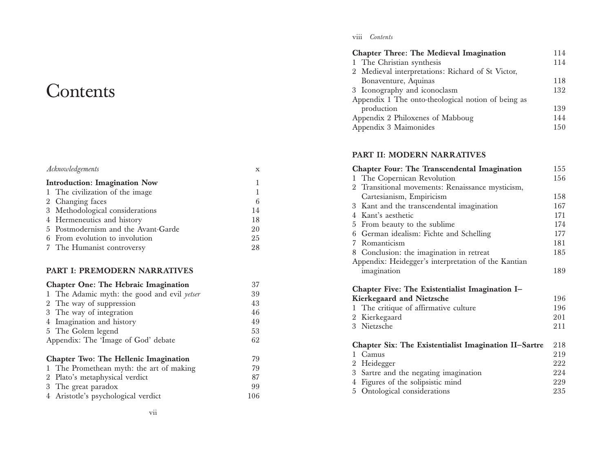# **Contents**

|                                      | Acknowledgements                    |    |
|--------------------------------------|-------------------------------------|----|
| <b>Introduction: Imagination Now</b> |                                     |    |
|                                      | 1 The civilization of the image     |    |
|                                      | 2 Changing faces                    | 6  |
|                                      | 3 Methodological considerations     | 14 |
|                                      | 4 Hermeneutics and history          | 18 |
|                                      | 5 Postmodernism and the Avant-Garde | 20 |
|                                      | 6 From evolution to involution      | 25 |
|                                      | 7 The Humanist controversy          | 28 |

# **PART I: PREMODERN NARRATIVES**

| <b>Chapter One: The Hebraic Imagination</b>        |                                             | 37  |
|----------------------------------------------------|---------------------------------------------|-----|
|                                                    | 1 The Adamic myth: the good and evil yetser | 39  |
|                                                    | 2 The way of suppression                    | 43  |
|                                                    | 3 The way of integration                    | 46  |
|                                                    | 4 Imagination and history                   | 49  |
|                                                    | 5 The Golem legend                          | 53  |
| Appendix: The 'Image of God' debate                |                                             | 62  |
| <b>Chapter Two: The Hellenic Imagination</b><br>79 |                                             |     |
|                                                    | 1 The Promethean myth: the art of making    | 79  |
|                                                    | 2 Plato's metaphysical verdict              | 87  |
|                                                    | 3 The great paradox                         | 99  |
|                                                    | 4 Aristotle's psychological verdict         | 106 |

## viii *Contents*

| <b>Chapter Three: The Medieval Imagination</b>     |     |
|----------------------------------------------------|-----|
| 1 The Christian synthesis                          | 114 |
| 2 Medieval interpretations: Richard of St Victor,  |     |
| Bonaventure, Aquinas                               | 118 |
| 3 Iconography and iconoclasm                       | 132 |
| Appendix 1 The onto-theological notion of being as |     |
| production                                         | 139 |
| Appendix 2 Philoxenes of Mabboug                   | 144 |
| Appendix 3 Maimonides                              | 150 |

# **PART II: MODERN NARRATIVES**

| <b>Chapter Four: The Transcendental Imagination</b>                           |            |
|-------------------------------------------------------------------------------|------------|
| The Copernican Revolution<br>1                                                | 156        |
| 2 Transitional movements: Renaissance mysticism,                              |            |
| Cartesianism, Empiricism                                                      | 158        |
| 3 Kant and the transcendental imagination                                     | 167        |
| 4 Kant's aesthetic                                                            | 171        |
| 5 From beauty to the sublime                                                  | 174        |
| 6 German idealism: Fichte and Schelling                                       | 177        |
| Romanticism<br>7                                                              | 181        |
| 8 Conclusion: the imagination in retreat                                      | 185        |
| Appendix: Heidegger's interpretation of the Kantian                           |            |
| imagination                                                                   | 189        |
|                                                                               |            |
|                                                                               |            |
| Chapter Five: The Existentialist Imagination I-                               | 196        |
| <b>Kierkegaard and Nietzsche</b>                                              | 196        |
| 1 The critique of affirmative culture                                         | 201        |
| 2 Kierkegaard<br>3 Nietzsche                                                  | 211        |
|                                                                               | 218        |
| Chapter Six: The Existentialist Imagination II-Sartre<br>Camus<br>1.          |            |
| 2                                                                             | 219<br>222 |
| Heidegger                                                                     | 224        |
| 3 Sartre and the negating imagination<br>Figures of the solipsistic mind<br>4 | 229        |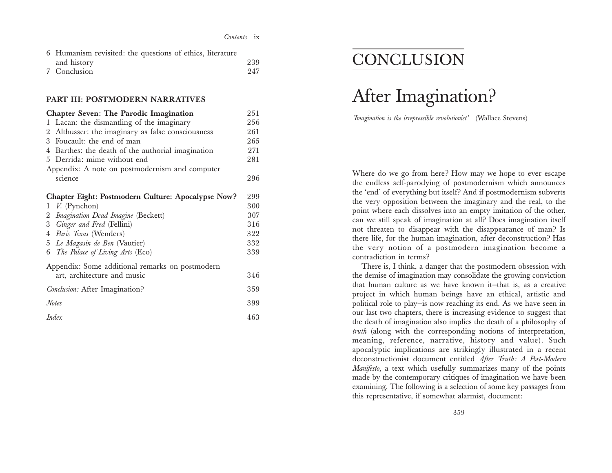| 6 Humanism revisited: the questions of ethics, literature |     |
|-----------------------------------------------------------|-----|
| and history                                               | 239 |
| 7 Conclusion                                              | 247 |

# **PART III: POSTMODERN NARRATIVES**

|                                                    | <b>Chapter Seven: The Parodic Imagination</b>     | 251 |
|----------------------------------------------------|---------------------------------------------------|-----|
| 1                                                  | Lacan: the dismantling of the imaginary           | 256 |
|                                                    | 2 Althusser: the imaginary as false consciousness | 261 |
|                                                    | 3 Foucault: the end of man                        | 265 |
|                                                    | 4 Barthes: the death of the authorial imagination | 271 |
|                                                    | 5 Derrida: mime without end                       | 281 |
|                                                    | Appendix: A note on postmodernism and computer    |     |
|                                                    | science                                           | 296 |
| Chapter Eight: Postmodern Culture: Apocalypse Now? |                                                   | 299 |
| 1                                                  | $V.$ (Pynchon)                                    | 300 |
|                                                    | 2 Imagination Dead Imagine (Beckett)              | 307 |
| 3                                                  | Ginger and Fred (Fellini)                         | 316 |
|                                                    | 4 Paris Texas (Wenders)                           | 322 |
|                                                    | 5 Le Magasin de Ben (Vautier)                     | 332 |
|                                                    | 6 The Palace of Living Arts (Eco)                 | 339 |
|                                                    | Appendix: Some additional remarks on postmodern   |     |
|                                                    | art, architecture and music                       | 346 |
|                                                    | Conclusion: After Imagination?                    |     |
| <b>Notes</b>                                       |                                                   | 399 |
| Index                                              |                                                   | 463 |

# **CONCLUSION**

# After Imagination?

*'Imagination is the irrepressible revolutionist'* (Wallace Stevens)

Where do we go from here? How may we hope to ever escape the endless self-parodying of postmodernism which announces the 'end' of everything but itself? And if postmodernism subverts the very opposition between the imaginary and the real, to the point where each dissolves into an empty imitation of the other, can we still speak of imagination at all? Does imagination itself not threaten to disappear with the disappearance of man? Is there life, for the human imagination, after deconstruction? Has the very notion of a postmodern imagination become a contradiction in terms?

There is, I think, a danger that the postmodern obsession with the demise of imagination may consolidate the growing conviction that human culture as we have known it—that is, as a creative project in which human beings have an ethical, artistic and political role to play—is now reaching its end. As we have seen in our last two chapters, there is increasing evidence to suggest that the death of imagination also implies the death of a philosophy of *truth* (along with the corresponding notions of interpretation, meaning, reference, narrative, history and value). Such apocalyptic implications are strikingly illustrated in a recent deconstructionist document entitled *After Truth: A Post-Modern Manifesto,* a text which usefully summarizes many of the points made by the contemporary critiques of imagination we have been examining. The following is a selection of some key passages from this representative, if somewhat alarmist, document: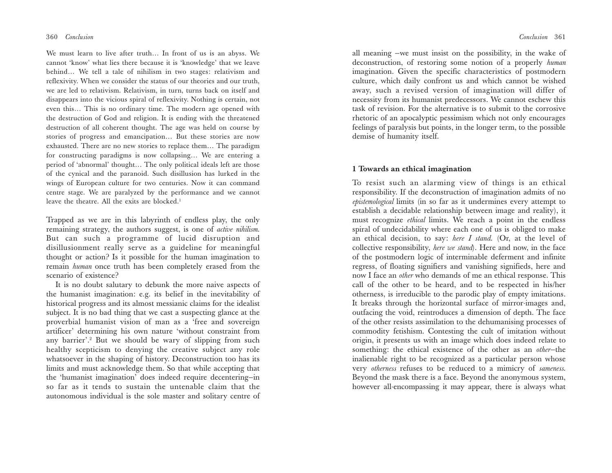We must learn to live after truth… In front of us is an abyss. We cannot 'know' what lies there because it is 'knowledge' that we leave behind… We tell a tale of nihilism in two stages: relativism and reflexivity. When we consider the status of our theories and our truth, we are led to relativism. Relativism, in turn, turns back on itself and disappears into the vicious spiral of reflexivity. Nothing is certain, not even this… This is no ordinary time. The modern age opened with the destruction of God and religion. It is ending with the threatened destruction of all coherent thought. The age was held on course by stories of progress and emancipation… But these stories are now exhausted. There are no new stories to replace them… The paradigm for constructing paradigms is now collapsing… We are entering a period of 'abnormal' thought… The only political ideals left are those of the cynical and the paranoid. Such disillusion has lurked in the wings of European culture for two centuries. Now it can command centre stage. We are paralyzed by the performance and we cannot leave the theatre. All the exits are blocked.<sup>1</sup>

Trapped as we are in this labyrinth of endless play, the only remaining strategy, the authors suggest, is one of *active nihilism*. But can such a programme of lucid disruption and disillusionment really serve as a guideline for meaningful thought or action? Is it possible for the human imagination to remain *human* once truth has been completely erased from the scenario of existence?

It is no doubt salutary to debunk the more naive aspects of the humanist imagination: e.g. its belief in the inevitability of historical progress and its almost messianic claims for the idealist subject. It is no bad thing that we cast a suspecting glance at the proverbial humanist vision of man as a 'free and sovereign artificer' determining his own nature 'without constraint from any barrier'.2 But we should be wary of slipping from such healthy scepticism to denying the creative subject any role whatsoever in the shaping of history. Deconstruction too has its limits and must acknowledge them. So that while accepting that the 'humanist imagination' does indeed require decentering—in so far as it tends to sustain the untenable claim that the autonomous individual is the sole master and solitary centre of

all meaning —we must insist on the possibility, in the wake of deconstruction, of restoring some notion of a properly *human* imagination. Given the specific characteristics of postmodern culture, which daily confront us and which cannot be wished away, such a revised version of imagination will differ of necessity from its humanist predecessors. We cannot eschew this task of revision. For the alternative is to submit to the corrosive rhetoric of an apocalyptic pessimism which not only encourages feelings of paralysis but points, in the longer term, to the possible demise of humanity itself.

# **1 Towards an ethical imagination**

To resist such an alarming view of things is an ethical responsibility. If the deconstruction of imagination admits of no *epistemological* limits (in so far as it undermines every attempt to establish a decidable relationship between image and reality), it must recognize *ethical* limits. We reach a point in the endless spiral of undecidability where each one of us is obliged to make an ethical decision, to say: *here I stand*. (Or, at the level of collective responsibility, *here we stand*). Here and now, in the face of the postmodern logic of interminable deferment and infinite regress, of floating signifiers and vanishing signifieds, here and now I face an *other* who demands of me an ethical response. This call of the other to be heard, and to be respected in his/her otherness, is irreducible to the parodic play of empty imitations. It breaks through the horizontal surface of mirror-images and, outfacing the void, reintroduces a dimension of depth. The face of the other resists assimilation to the dehumanising processes of commodity fetishism. Contesting the cult of imitation without origin, it presents us with an image which does indeed relate to something: the ethical existence of the other as an *other*—the inalienable right to be recognized as a particular person whose very *otherness* refuses to be reduced to a mimicry of *sameness*. Beyond the mask there is a face. Beyond the anonymous system, however all-encompassing it may appear, there is always what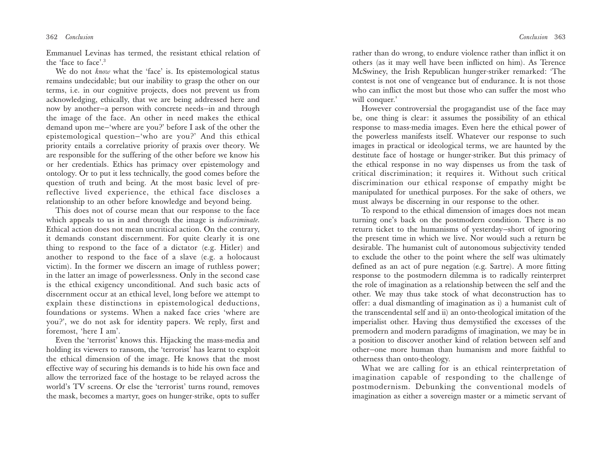Emmanuel Levinas has termed, the resistant ethical relation of the 'face to face'.3

We do not *know* what the 'face' is. Its epistemological status remains undecidable; but our inability to grasp the other on our terms, i.e. in our cognitive projects, does not prevent us from acknowledging, ethically, that we are being addressed here and now by another—a person with concrete needs—in and through the image of the face. An other in need makes the ethical demand upon me—'where are you?' before I ask of the other the epistemological question—'who are you?' And this ethical priority entails a correlative priority of praxis over theory. We are responsible for the suffering of the other before we know his or her credentials. Ethics has primacy over epistemology and ontology. Or to put it less technically, the good comes before the question of truth and being. At the most basic level of prereflective lived experience, the ethical face discloses a relationship to an other before knowledge and beyond being.

This does not of course mean that our response to the face which appeals to us in and through the image is *indiscriminate*. Ethical action does not mean uncritical action. On the contrary, it demands constant discernment. For quite clearly it is one thing to respond to the face of a dictator (e.g. Hitler) and another to respond to the face of a slave (e.g. a holocaust victim). In the former we discern an image of ruthless power; in the latter an image of powerlessness. Only in the second case is the ethical exigency unconditional. And such basic acts of discernment occur at an ethical level, long before we attempt to explain these distinctions in epistemological deductions, foundations or systems. When a naked face cries 'where are you?', we do not ask for identity papers. We reply, first and foremost, 'here I am'.

Even the 'terrorist' knows this. Hijacking the mass-media and holding its viewers to ransom, the 'terrorist' has learnt to exploit the ethical dimension of the image. He knows that the most effective way of securing his demands is to hide his own face and allow the terrorized face of the hostage to be relayed across the world's TV screens. Or else the 'terrorist' turns round, removes the mask, becomes a martyr, goes on hunger-strike, opts to suffer

rather than do wrong, to endure violence rather than inflict it on others (as it may well have been inflicted on him). As Terence McSwiney, the Irish Republican hunger-striker remarked: 'The contest is not one of vengeance but of endurance. It is not those who can inflict the most but those who can suffer the most who will conquer.'

However controversial the progagandist use of the face may be, one thing is clear: it assumes the possibility of an ethical response to mass-media images. Even here the ethical power of the powerless manifests itself. Whatever our response to such images in practical or ideological terms, we are haunted by the destitute face of hostage or hunger-striker. But this primacy of the ethical response in no way dispenses us from the task of critical discrimination; it requires it. Without such critical discrimination our ethical response of empathy might be manipulated for unethical purposes. For the sake of others, we must always be discerning in our response to the other.

To respond to the ethical dimension of images does not mean turning one's back on the postmodern condition. There is no return ticket to the humanisms of yesterday—short of ignoring the present time in which we live. Nor would such a return be desirable. The humanist cult of autonomous subjectivity tended to exclude the other to the point where the self was ultimately defined as an act of pure negation (e.g. Sartre). A more fitting response to the postmodern dilemma is to radically reinterpret the role of imagination as a relationship between the self and the other. We may thus take stock of what deconstruction has to offer: a dual dismantling of imagination as i) a humanist cult of the transcendental self and ii) an onto-theological imitation of the imperialist other. Having thus demystified the excesses of the premodern and modern paradigms of imagination, we may be in a position to discover another kind of relation between self and other—one more human than humanism and more faithful to otherness than onto-theology.

What we are calling for is an ethical reinterpretation of imagination capable of responding to the challenge of postmodernism. Debunking the conventional models of imagination as either a sovereign master or a mimetic servant of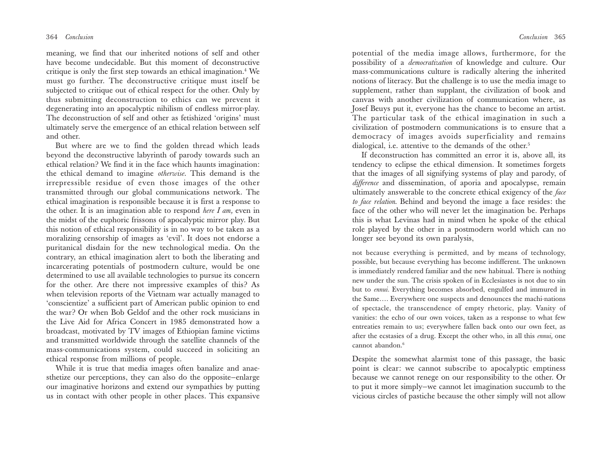meaning, we find that our inherited notions of self and other have become undecidable. But this moment of deconstructive critique is only the first step towards an ethical imagination.4 We must go further. The deconstructive critique must itself be subjected to critique out of ethical respect for the other. Only by thus submitting deconstruction to ethics can we prevent it degenerating into an apocalyptic nihilism of endless mirror-play. The deconstruction of self and other as fetishized 'origins' must ultimately serve the emergence of an ethical relation between self and other.

But where are we to find the golden thread which leads beyond the deconstructive labyrinth of parody towards such an ethical relation? We find it in the face which haunts imagination: the ethical demand to imagine *otherwise*. This demand is the irrepressible residue of even those images of the other transmitted through our global communications network. The ethical imagination is responsible because it is first a response to the other. It is an imagination able to respond *here I am,* even in the midst of the euphoric frissons of apocalyptic mirror play. But this notion of ethical responsibility is in no way to be taken as a moralizing censorship of images as 'evil'. It does not endorse a puritanical disdain for the new technological media. On the contrary, an ethical imagination alert to both the liberating and incarcerating potentials of postmodern culture, would be one determined to use all available technologies to pursue its concern for the other. Are there not impressive examples of this? As when television reports of the Vietnam war actually managed to 'conscientize' a sufficient part of American public opinion to end the war? Or when Bob Geldof and the other rock musicians in the Live Aid for Africa Concert in 1985 demonstrated how a broadcast, motivated by TV images of Ethiopian famine victims and transmitted worldwide through the satellite channels of the mass-communications system, could succeed in soliciting an ethical response from millions of people.

While it is true that media images often banalize and anaesthetize our perceptions, they can also do the opposite—enlarge our imaginative horizons and extend our sympathies by putting us in contact with other people in other places. This expansive

potential of the media image allows, furthermore, for the possibility of a *democratization* of knowledge and culture. Our mass-communications culture is radically altering the inherited notions of literacy. But the challenge is to use the media image to supplement, rather than supplant, the civilization of book and canvas with another civilization of communication where, as Josef Beuys put it, everyone has the chance to become an artist. The particular task of the ethical imagination in such a civilization of postmodern communications is to ensure that a democracy of images avoids superficiality and remains dialogical, i.e. attentive to the demands of the other.<sup>5</sup>

If deconstruction has committed an error it is, above all, its tendency to eclipse the ethical dimension. It sometimes forgets that the images of all signifying systems of play and parody, of *difference* and dissemination, of aporia and apocalypse, remain ultimately answerable to the concrete ethical exigency of the *face to face relation*. Behind and beyond the image a face resides: the face of the other who will never let the imagination be. Perhaps this is what Levinas had in mind when he spoke of the ethical role played by the other in a postmodern world which can no longer see beyond its own paralysis,

not because everything is permitted, and by means of technology, possible, but because everything has become indifferent. The unknown is immediately rendered familiar and the new habitual. There is nothing new under the sun. The crisis spoken of in Ecclesiastes is not due to sin but to *ennui.* Everything becomes absorbed, engulfed and immured in the Same…. Everywhere one suspects and denounces the machi-nations of spectacle, the transcendence of empty rhetoric, play. Vanity of vanities: the echo of our own voices, taken as a response to what few entreaties remain to us; everywhere fallen back onto our own feet, as after the ecstasies of a drug. Except the other who, in all this *ennui,* one cannot abandon.<sup>6</sup>

Despite the somewhat alarmist tone of this passage, the basic point is clear: we cannot subscribe to apocalyptic emptiness because we cannot renege on our responsibility to the other. Or to put it more simply—we cannot let imagination succumb to the vicious circles of pastiche because the other simply will not allow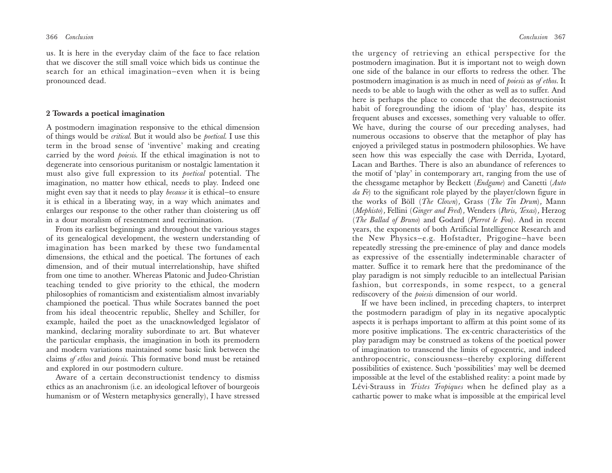us. It is here in the everyday claim of the face to face relation that we discover the still small voice which bids us continue the search for an ethical imagination—even when it is being pronounced dead.

## **2 Towards a poetical imagination**

A postmodern imagination responsive to the ethical dimension of things would be *critical*. But it would also be *poetical*. I use this term in the broad sense of 'inventive' making and creating carried by the word *poiesis*. If the ethical imagination is not to degenerate into censorious puritanism or nostalgic lamentation it must also give full expression to its *poetical* potential. The imagination, no matter how ethical, needs to play. Indeed one might even say that it needs to play *because* it is ethical—to ensure it is ethical in a liberating way, in a way which animates and enlarges our response to the other rather than cloistering us off in a dour moralism of resentment and recrimination.

From its earliest beginnings and throughout the various stages of its genealogical development, the western understanding of imagination has been marked by these two fundamental dimensions, the ethical and the poetical. The fortunes of each dimension, and of their mutual interrelationship, have shifted from one time to another. Whereas Platonic and Judeo-Christian teaching tended to give priority to the ethical, the modern philosophies of romanticism and existentialism almost invariably championed the poetical. Thus while Socrates banned the poet from his ideal theocentric republic, Shelley and Schiller, for example, hailed the poet as the unacknowledged legislator of mankind, declaring morality subordinate to art. But whatever the particular emphasis, the imagination in both its premodern and modern variations maintained some basic link between the claims *of ethos* and *poiesis*. This formative bond must be retained and explored in our postmodern culture.

Aware of a certain deconstructionist tendency to dismiss ethics as an anachronism (i.e. an ideological leftover of bourgeois humanism or of Western metaphysics generally), I have stressed

the urgency of retrieving an ethical perspective for the postmodern imagination. But it is important not to weigh down one side of the balance in our efforts to redress the other. The postmodern imagination is as much in need of *poiesis* as *of ethos*. It needs to be able to laugh with the other as well as to suffer. And here is perhaps the place to concede that the deconstructionist habit of foregrounding the idiom of 'play' has, despite its frequent abuses and excesses, something very valuable to offer. We have, during the course of our preceding analyses, had numerous occasions to observe that the metaphor of play has enjoyed a privileged status in postmodern philosophies. We have seen how this was especially the case with Derrida, Lyotard, Lacan and Barthes. There is also an abundance of references to the motif of 'play' in contemporary art, ranging from the use of the chessgame metaphor by Beckett (*Endgame*) and Canetti (*Auto da Fe*) to the significant role played by the player/clown figure in the works of Böll (*The Clown*)*,* Grass (*The Tin Drum*)*,* Mann (*Mephisto*)*,* Fellini (*Ginger and Fred*)*,* Wenders (*Paris, Texas*)*,* Herzog (*The Ballad of Bruno*) and Godard (*Pierrot le Fou*). And in recent years, the exponents of both Artificial Intelligence Research and the New Physics—e.g. Hofstadter, Prigogine—have been repeatedly stressing the pre-eminence of play and dance models as expressive of the essentially indeterminable character of matter. Suffice it to remark here that the predominance of the play paradigm is not simply reducible to an intellectual Parisian fashion, but corresponds, in some respect, to a general rediscovery of the *poiesis* dimension of our world.

If we have been inclined, in preceding chapters, to interpret the postmodern paradigm of play in its negative apocalyptic aspects it is perhaps important to affirm at this point some of its more positive implications. The ex-centric characteristics of the play paradigm may be construed as tokens of the poetical power of imagination to transcend the limits of egocentric, and indeed anthropocentric, consciousness—thereby exploring different possibilities of existence. Such 'possibilities' may well be deemed impossible at the level of the established reality: a point made by Lévi-Strauss in *Tristes Tropiques* when he defined play as a cathartic power to make what is impossible at the empirical level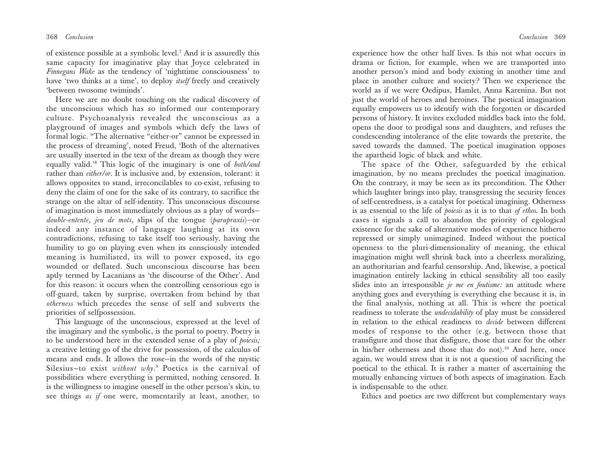of existence possible at a symbolic level.7 And it is assuredly this same capacity for imaginative play that Joyce celebrated in *Finnegans Wake* as the tendency of 'nighttime consciousness' to have 'two thinks at a time', to deploy *itself* freely and creatively 'between twosome twiminds'.

Here we are no doubt touching on the radical discovery of the unconscious which has so informed our contemporary culture. Psychoanalysis revealed the unconscious as a playground of images and symbols which defy the laws of formal logic. "The alternative "either-or" cannot be expressed in the process of dreaming', noted Freud, 'Both of the alternatives are usually inserted in the text of the dream as though they were equally valid.'8 This logic of the imaginary is one of *both/and* rather than *either/or*. It is inclusive and, by extension, tolerant: it allows opposites to stand, irreconcilables to co-exist, refusing to deny the claim of one for the sake of its contrary, to sacrifice the strange on the altar of self-identity. This unconscious discourse of imagination is most immediately obvious as a play of words *double-entente, jeu de mots,* slips of the tongue (*parapraxis*)—or indeed any instance of language laughing at its own contradictions, refusing to take itself too seriously, having the humility to go on playing even when its consciously intended meaning is humiliated, its will to power exposed, its ego wounded or deflated. Such unconscious discourse has been aptly termed by Lacanians as 'the discourse of the Other'. And for this reason: it occurs when the controlling censorious ego is off-guard, taken by surprise, overtaken from behind by that *otherness* which precedes the sense of self and subverts the priorities of selfpossession.

This language of the unconscious, expressed at the level of the imaginary and the symbolic, is the portal to poetry. Poetry is to be understood here in the extended sense of a play of *poiesis;* a creative letting go of the drive for possession, of the calculus of means and ends. It allows the rose—in the words of the mystic Silesius—to exist *without why*. 9 Poetics is the carnival of possibilities where everything is permitted, nothing censored. It is the willingness to imagine oneself in the other person's skin, to see things *as if* one were, momentarily at least, another, to

experience how the other half lives. Is this not what occurs in drama or fiction, for example, when we are transported into another person's mind and body existing in another time and place in another culture and society? Then we experience the world as if we were Oedipus, Hamlet, Anna Karenina. But not just the world of heroes and heroines. The poetical imagination equally empowers us to identify with the forgotten or discarded persons of history. It invites excluded middles back into the fold, opens the door to prodigal sons and daughters, and refuses the condescending intolerance of the elite towards the preterite, the saved towards the damned. The poetical imagination opposes the apartheid logic of black and white.

The space of the Other, safeguarded by the ethical imagination, by no means precludes the poetical imagination. On the contrary, it may be seen as its precondition. The Other which laughter brings into play, transgressing the security fences of self-centredness, is a catalyst for poetical imagining. Otherness is as essential to the life of *poiesis* as it is to that *of ethos*. In both cases it signals a call to abandon the priority of egological existence for the sake of alternative modes of experience hitherto repressed or simply unimagined. Indeed without the poetical openness to the pluri-dimensionality of meaning, the ethical imagination might well shrink back into a cheerless moralizing, an authoritarian and fearful censorship. And, likewise, a poetical imagination entirely lacking in ethical sensibility all too easily slides into an irresponsible *je me en foutisme:* an attitude where anything goes and everything is everything else because it is, in the final analysis, nothing at all. This is where the poetical readiness to tolerate the *undecidability* of play must be considered in relation to the ethical readiness to *decide* between different modes of response to the other (e.g. between those that transfigure and those that disfigure, those that care for the other in his/her otherness and those that do not).<sup>10</sup> And here, once again, we would stress that it is not a question of sacrificing the poetical to the ethical. It is rather a matter of ascertaining the mutually enhancing virtues of both aspects of imagination. Each is indispensable to the other.

Ethics and poetics are two different but complementary ways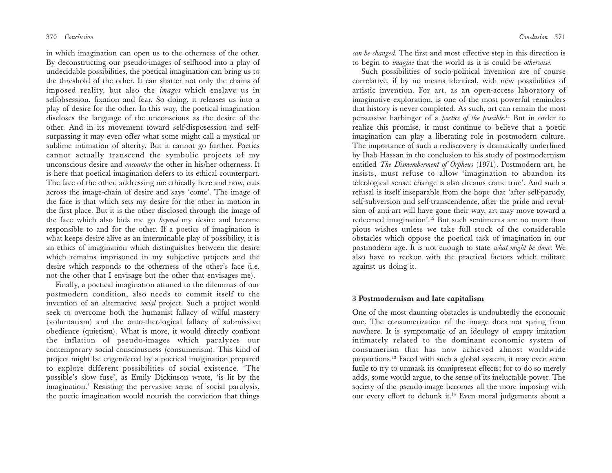#### 370 *Conclusion*

in which imagination can open us to the otherness of the other. By deconstructing our pseudo-images of selfhood into a play of undecidable possibilities, the poetical imagination can bring us to the threshold of the other. It can shatter not only the chains of imposed reality, but also the *imagos* which enslave us in selfobsession, fixation and fear. So doing, it releases us into a play of desire for the other. In this way, the poetical imagination discloses the language of the unconscious as the desire of the other. And in its movement toward self-disposession and selfsurpassing it may even offer what some might call a mystical or sublime intimation of alterity. But it cannot go further. Poetics cannot actually transcend the symbolic projects of my unconscious desire and *encounter* the other in his/her otherness. It is here that poetical imagination defers to its ethical counterpart. The face of the other, addressing me ethically here and now, cuts across the image-chain of desire and says 'come'. The image of the face is that which sets my desire for the other in motion in the first place. But it is the other disclosed through the image of the face which also bids me go *beyond* my desire and become responsible to and for the other. If a poetics of imagination is what keeps desire alive as an interminable play of possibility, it is an ethics of imagination which distinguishes between the desire which remains imprisoned in my subjective projects and the desire which responds to the otherness of the other's face (i.e. not the other that I envisage but the other that envisages me).

Finally, a poetical imagination attuned to the dilemmas of our postmodern condition, also needs to commit itself to the invention of an alternative *social* project. Such a project would seek to overcome both the humanist fallacy of wilful mastery (voluntarism) and the onto-theological fallacy of submissive obedience (quietism). What is more, it would directly confront the inflation of pseudo-images which paralyzes our contemporary social consciousness (consumerism). This kind of project might be engendered by a poetical imagination prepared to explore different possibilities of social existence. 'The possible's slow fuse', as Emily Dickinson wrote, 'is lit by the imagination.' Resisting the pervasive sense of social paralysis, the poetic imagination would nourish the conviction that things

*can be changed*. The first and most effective step in this direction is to begin to *imagine* that the world as it is could be *otherwise*.

Such possibilities of socio-political invention are of course correlative, if by no means identical, with new possibilities of artistic invention. For art, as an open-access laboratory of imaginative exploration, is one of the most powerful reminders that history is never completed. As such, art can remain the most persuasive harbinger of a *poetics of the possible*. 11 But in order to realize this promise, it must continue to believe that a poetic imagination can play a liberating role in postmodern culture. The importance of such a rediscovery is dramatically underlined by Ihab Hassan in the conclusion to his study of postmodernism entitled *The Dismemberment of Orpheus* (1971). Postmodern art, he insists, must refuse to allow 'imagination to abandon its teleological sense: change is also dreams come true'. And such a refusal is itself inseparable from the hope that 'after self-parody, self-subversion and self-transcendence, after the pride and revulsion of anti-art will have gone their way, art may move toward a redeemed imagination'.12 But such sentiments are no more than pious wishes unless we take full stock of the considerable obstacles which oppose the poetical task of imagination in our postmodern age. It is not enough to state *what might be done*. We also have to reckon with the practical factors which militate against us doing it.

#### **3 Postmodernism and late capitalism**

One of the most daunting obstacles is undoubtedly the economic one. The consumerization of the image does not spring from nowhere. It is symptomatic of an ideology of empty imitation intimately related to the dominant economic system of consumerism that has now achieved almost worldwide proportions.13 Faced with such a global system, it may even seem futile to try to unmask its omnipresent effects; for to do so merely adds, some would argue, to the sense of its ineluctable power. The society of the pseudo-image becomes all the more imposing with our every effort to debunk it.14 Even moral judgements about a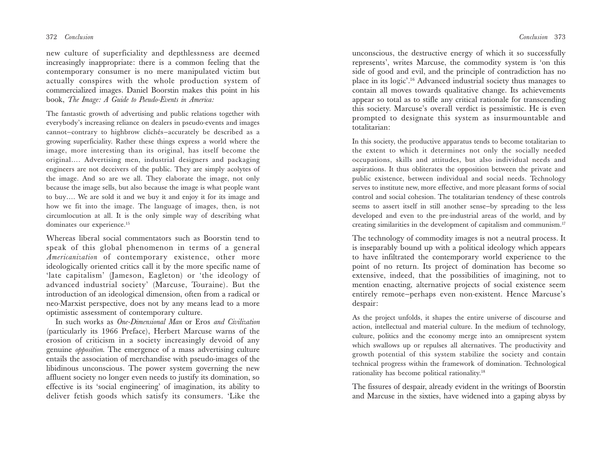#### 372 *Conclusion*

new culture of superficiality and depthlessness are deemed increasingly inappropriate: there is a common feeling that the contemporary consumer is no mere manipulated victim but actually conspires with the whole production system of commercialized images. Daniel Boorstin makes this point in his book, *The Image: A Guide to Pseudo-Events in America:*

The fantastic growth of advertising and public relations together with everybody's increasing reliance on dealers in pseudo-events and images cannot—contrary to highbrow clichés—accurately be described as a growing superficiality. Rather these things express a world where the image, more interesting than its original, has itself become the original…. Advertising men, industrial designers and packaging engineers are not deceivers of the public. They are simply acolytes of the image. And so are we all. They elaborate the image, not only because the image sells, but also because the image is what people want to buy…. We are sold it and we buy it and enjoy it for its image and how we fit into the image. The language of images, then, is not circumlocution at all. It is the only simple way of describing what dominates our experience.<sup>15</sup>

Whereas liberal social commentators such as Boorstin tend to speak of this global phenomenon in terms of a general *Americanization* of contemporary existence, other more ideologically oriented critics call it by the more specific name of 'late capitalism' (Jameson, Eagleton) or 'the ideology of advanced industrial society' (Marcuse, Touraine). But the introduction of an ideological dimension, often from a radical or neo-Marxist perspective, does not by any means lead to a more optimistic assessment of contemporary culture.

In such works as *One-Dimensional Man* or Eros *and Civilization* (particularly its 1966 Preface), Herbert Marcuse warns of the erosion of criticism in a society increasingly devoid of any genuine *opposition*. The emergence of a mass advertising culture entails the association of merchandise with pseudo-images of the libidinous unconscious. The power system governing the new affluent society no longer even needs to justify its domination, so effective is its 'social engineering' of imagination, its ability to deliver fetish goods which satisfy its consumers. 'Like the

unconscious, the destructive energy of which it so successfully represents', writes Marcuse, the commodity system is 'on this side of good and evil, and the principle of contradiction has no place in its logic'.16 Advanced industrial society thus manages to contain all moves towards qualitative change. Its achievements appear so total as to stifle any critical rationale for transcending this society. Marcuse's overall verdict is pessimistic. He is even prompted to designate this system as insurmountable and totalitarian:

In this society, the productive apparatus tends to become totalitarian to the extent to which it determines not only the socially needed occupations, skills and attitudes, but also individual needs and aspirations. It thus obliterates the opposition between the private and public existence, between individual and social needs. Technology serves to institute new, more effective, and more pleasant forms of social control and social cohesion. The totalitarian tendency of these controls seems to assert itself in still another sense—by spreading to the less developed and even to the pre-industrial areas of the world, and by creating similarities in the development of capitalism and communism.17

The technology of commodity images is not a neutral process. It is inseparably bound up with a political ideology which appears to have infiltrated the contemporary world experience to the point of no return. Its project of domination has become so extensive, indeed, that the possibilities of imagining, not to mention enacting, alternative projects of social existence seem entirely remote—perhaps even non-existent. Hence Marcuse's despair:

As the project unfolds, it shapes the entire universe of discourse and action, intellectual and material culture. In the medium of technology, culture, politics and the economy merge into an omnipresent system which swallows up or repulses all alternatives. The productivity and growth potential of this system stabilize the society and contain technical progress within the framework of domination. Technological rationality has become political rationality.18

The fissures of despair, already evident in the writings of Boorstin and Marcuse in the sixties, have widened into a gaping abyss by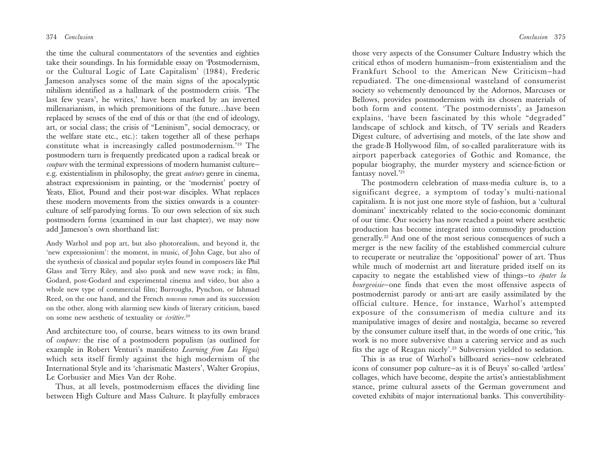the time the cultural commentators of the seventies and eighties take their soundings. In his formidable essay on 'Postmodernism, or the Cultural Logic of Late Capitalism' (1984), Frederic Jameson analyses some of the main signs of the apocalyptic nihilism identified as a hallmark of the postmodern crisis. 'The last few years', he writes,' have been marked by an inverted millenarianism, in which premonitions of the future…have been replaced by senses of the end of this or that (the end of ideology, art, or social class; the crisis of "Leninism", social democracy, or the welfare state etc., etc.): taken together all of these perhaps constitute what is increasingly called postmodernism.'19 The postmodern turn is frequently predicated upon a radical break or *coupure* with the terminal expressions of modern humanist culture e.g. existentialism in philosophy, the great *auteurs* genre in cinema, abstract expressionism in painting, or the 'modernist' poetry of Yeats, Eliot, Pound and their post-war disciples. What replaces these modern movements from the sixties onwards is a counterculture of self-parodying forms. To our own selection of six such postmodern forms (examined in our last chapter), we may now add Jameson's own shorthand list:

Andy Warhol and pop art, but also photorealism, and beyond it, the 'new expressionism': the moment, in music, of John Cage, but also of the synthesis of classical and popular styles found in composers like Phil Glass and Terry Riley, and also punk and new wave rock; in film, Godard, post-Godard and experimental cinema and video, but also a whole new type of commercial film; Burroughs, Pynchon, or Ishmael Reed, on the one hand, and the French *nouveau roman* and its succession on the other, along with alarming new kinds of literary criticism, based on some new aesthetic of textuality or *écrittire*. 20

And architecture too, of course, bears witness to its own brand of *coupure:* the rise of a postmodern populism (as outlined for example in Robert Venturi's manifesto *Learning from Las Vegas*) which sets itself firmly against the high modernism of the International Style and its 'charismatic Masters', Walter Gropius, Le Corbusier and Mies Van der Rohe.

Thus, at all levels, postmodernism effaces the dividing line between High Culture and Mass Culture. It playfully embraces

those very aspects of the Consumer Culture Industry which the critical ethos of modern humanism—from existentialism and the Frankfurt School to the American New Criticism—had repudiated. The one-dimensional wasteland of consumerist society so vehemently denounced by the Adornos, Marcuses or Bellows, provides postmodernism with its chosen materials of both form and content. 'The postmodernists', as Jameson explains, 'have been fascinated by this whole "degraded" landscape of schlock and kitsch, of TV serials and Readers Digest culture, of advertising and motels, of the late show and the grade-B Hollywood film, of so-called paraliterature with its airport paperback categories of Gothic and Romance, the popular biography, the murder mystery and science-fiction or fantasy novel.'21

The postmodern celebration of mass-media culture is, to a significant degree, a symptom of today's multi-national capitalism. It is not just one more style of fashion, but a 'cultural dominant' inextricably related to the socio-economic dominant of our time. Our society has now reached a point where aesthetic production has become integrated into commodity production generally.22 And one of the most serious consequences of such a merger is the new facility of the established commercial culture to recuperate or neutralize the 'oppositional' power of art. Thus while much of modernist art and literature prided itself on its capacity to negate the established view of things—to *épater la bourgeoisie*—one finds that even the most offensive aspects of postmodernist parody or anti-art are easily assimilated by the official culture. Hence, for instance, Warhol's attempted exposure of the consumerism of media culture and its manipulative images of desire and nostalgia, became so revered by the consumer culture itself that, in the words of one critic, 'his work is no more subversive than a catering service and as such fits the age of Reagan nicely'.23 Subversion yielded to sedation.

This is as true of Warhol's billboard series—now celebrated icons of consumer pop culture—as it is of Beuys' so-called 'artless' collages, which have become, despite the artist's antiestablishment stance, prime cultural assets of the German government and coveted exhibits of major international banks. This convertibility-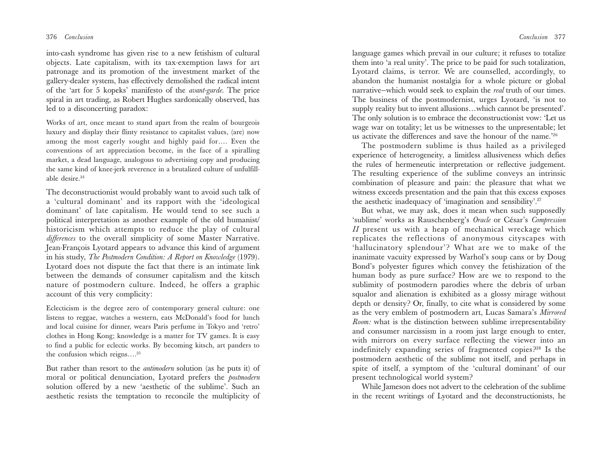into-cash syndrome has given rise to a new fetishism of cultural objects. Late capitalism, with its tax-exemption laws for art patronage and its promotion of the investment market of the gallery-dealer system, has effectively demolished the radical intent of the 'art for 5 kopeks' manifesto of the *avant-garde*. The price spiral in art trading, as Robert Hughes sardonically observed, has led to a disconcerting paradox:

Works of art, once meant to stand apart from the realm of bourgeois luxury and display their flinty resistance to capitalist values, (are) now among the most eagerly sought and highly paid for…. Even the conventions of art appreciation become, in the face of a spiralling market, a dead language, analogous to advertising copy and producing the same kind of knee-jerk reverence in a brutalized culture of unfulfillable desire.<sup>24</sup>

The deconstructionist would probably want to avoid such talk of a 'cultural dominant' and its rapport with the 'ideological dominant' of late capitalism. He would tend to see such a political interpretation as another example of the old humanist/ historicism which attempts to reduce the play of cultural *differences* to the overall simplicity of some Master Narrative. Jean-François Lyotard appears to advance this kind of argument in his study, *The Postmodern Condition: A Report on Knowledge* (1979). Lyotard does not dispute the fact that there is an intimate link between the demands of consumer capitalism and the kitsch nature of postmodern culture. Indeed, he offers a graphic account of this very complicity:

Eclecticism is the degree zero of contemporary general culture: one listens to reggae, watches a western, eats McDonald's food for lunch and local cuisine for dinner, wears Paris perfume in Tokyo and 'retro' clothes in Hong Kong; knowledge is a matter for TV games. It is easy to find a public for eclectic works. By becoming kitsch, art panders to the confusion which reigns….25

But rather than resort to the *antimodern* solution (as he puts it) of moral or political denunciation, Lyotard prefers the *postmodern* solution offered by a new 'aesthetic of the sublime'. Such an aesthetic resists the temptation to reconcile the multiplicity of

language games which prevail in our culture; it refuses to totalize them into 'a real unity'. The price to be paid for such totalization, Lyotard claims, is terror. We are counselled, accordingly, to abandon the humanist nostalgia for a whole picture or global narrative—which would seek to explain the *real* truth of our times. The business of the postmodernist, urges Lyotard, 'is not to supply reality but to invent allusions…which cannot be presented'. The only solution is to embrace the deconstructionist vow: 'Let us wage war on totality; let us be witnesses to the unpresentable; let us activate the differences and save the honour of the name.'26

The postmodern sublime is thus hailed as a privileged experience of heterogeneity, a limitless allusiveness which defies the rules of hermeneutic interpretation or reflective judgement. The resulting experience of the sublime conveys an intrinsic combination of pleasure and pain: the pleasure that what we witness exceeds presentation and the pain that this excess exposes the aesthetic inadequacy of 'imagination and sensibility'.27

But what, we may ask, does it mean when such supposedly 'sublime' works as Rauschenberg's *Oracle* or César's *Compression II* present us with a heap of mechanical wreckage which replicates the reflections of anonymous cityscapes with 'hallucinatory splendour'? What are we to make of the inanimate vacuity expressed by Warhol's soup cans or by Doug Bond's polyester figures which convey the fetishization of the human body as pure surface? How are we to respond to the sublimity of postmodern parodies where the debris of urban squalor and alienation is exhibited as a glossy mirage without depth or density? Or, finally, to cite what is considered by some as the very emblem of postmodern art, Lucas Samara's *Mirrored Room:* what is the distinction between sublime irrepresentability and consumer narcissism in a room just large enough to enter, with mirrors on every surface reflecting the viewer into an indefinitely expanding series of fragmented copies?28 Is the postmodern aesthetic of the sublime not itself, and perhaps in spite of itself, a symptom of the 'cultural dominant' of our present technological world system?

While Jameson does not advert to the celebration of the sublime in the recent writings of Lyotard and the deconstructionists, he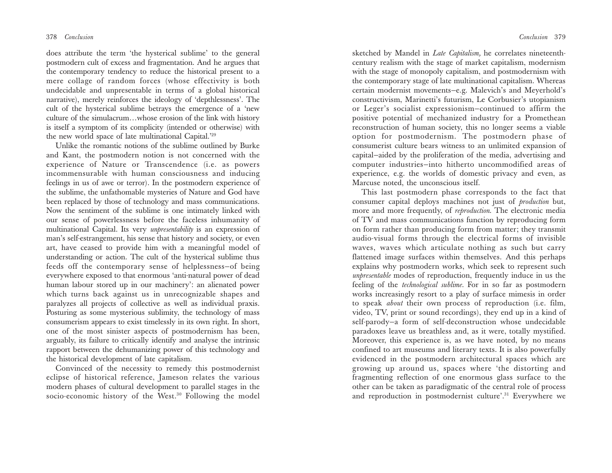does attribute the term 'the hysterical sublime' to the general postmodern cult of excess and fragmentation. And he argues that the contemporary tendency to reduce the historical present to a mere collage of random forces (whose effectivity is both undecidable and unpresentable in terms of a global historical narrative), merely reinforces the ideology of 'depthlessness'. The cult of the hysterical sublime betrays the emergence of a 'new culture of the simulacrum…whose erosion of the link with history is itself a symptom of its complicity (intended or otherwise) with the new world space of late multinational Capital.'29

Unlike the romantic notions of the sublime outlined by Burke and Kant, the postmodern notion is not concerned with the experience of Nature or Transcendence (i.e. as powers incommensurable with human consciousness and inducing feelings in us of awe or terror). In the postmodern experience of the sublime, the unfathomable mysteries of Nature and God have been replaced by those of technology and mass communications. Now the sentiment of the sublime is one intimately linked with our sense of powerlessness before the faceless inhumanity of multinational Capital. Its very *unpresentability* is an expression of man's self-estrangement, his sense that history and society, or even art, have ceased to provide him with a meaningful model of understanding or action. The cult of the hysterical sublime thus feeds off the contemporary sense of helplessness—of being everywhere exposed to that enormous 'anti-natural power of dead human labour stored up in our machinery': an alienated power which turns back against us in unrecognizable shapes and paralyzes all projects of collective as well as individual praxis. Posturing as some mysterious sublimity, the technology of mass consumerism appears to exist timelessly in its own right. In short, one of the most sinister aspects of postmodernism has been, arguably, its failure to critically identify and analyse the intrinsic rapport between the dehumanizing power of this technology and the historical development of late capitalism.

Convinced of the necessity to remedy this postmodernist eclipse of historical reference, Jameson relates the various modern phases of cultural development to parallel stages in the socio-economic history of the West.30 Following the model

sketched by Mandel in *Late Capitalism,* he correlates nineteenthcentury realism with the stage of market capitalism, modernism with the stage of monopoly capitalism, and postmodernism with the contemporary stage of late multinational capitalism. Whereas certain modernist movements—e.g. Malevich's and Meyerhold's constructivism, Marinetti's futurism, Le Corbusier's utopianism or Leger's socialist expressionism—continued to affirm the positive potential of mechanized industry for a Promethean reconstruction of human society, this no longer seems a viable option for postmodernism. The postmodern phase of consumerist culture bears witness to an unlimited expansion of capital—aided by the proliferation of the media, advertising and computer industries—into hitherto uncommodified areas of experience, e.g. the worlds of domestic privacy and even, as Marcuse noted, the unconscious itself.

This last postmodern phase corresponds to the fact that consumer capital deploys machines not just of *production* but, more and more frequently, of *reproduction*. The electronic media of TV and mass communications function by reproducing form on form rather than producing form from matter; they transmit audio-visual forms through the electrical forms of invisible waves, waves which articulate nothing as such but carry flattened image surfaces within themselves. And this perhaps explains why postmodern works, which seek to represent such *unpresentable* modes of reproduction, frequently induce in us the feeling of the *technological sublime*. For in so far as postmodern works increasingly resort to a play of surface mimesis in order to speak *about* their own process of reproduction (i.e. film, video, TV, print or sound recordings), they end up in a kind of self-parody—a form of self-deconstruction whose undecidable paradoxes leave us breathless and, as it were, totally mystified. Moreover, this experience is, as we have noted, by no means confined to art museums and literary texts. It is also powerfully evidenced in the postmodern architectural spaces which are growing up around us, spaces where 'the distorting and fragmenting reflection of one enormous glass surface to the other can be taken as paradigmatic of the central role of process and reproduction in postmodernist culture'.<sup>31</sup> Everywhere we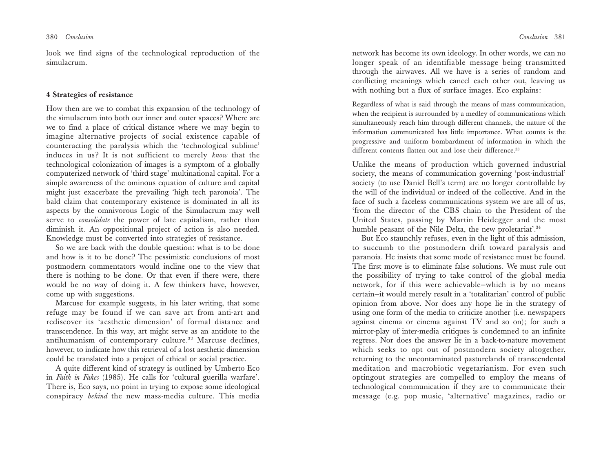look we find signs of the technological reproduction of the simulacrum.

# **4 Strategies of resistance**

How then are we to combat this expansion of the technology of the simulacrum into both our inner and outer spaces? Where are we to find a place of critical distance where we may begin to imagine alternative projects of social existence capable of counteracting the paralysis which the 'technological sublime' induces in us? It is not sufficient to merely *know* that the technological colonization of images is a symptom of a globally computerized network of 'third stage' multinational capital. For a simple awareness of the ominous equation of culture and capital might just exacerbate the prevailing 'high tech paronoia'. The bald claim that contemporary existence is dominated in all its aspects by the omnivorous Logic of the Simulacrum may well serve to *consolidate* the power of late capitalism, rather than diminish it. An oppositional project of action is also needed. Knowledge must be converted into strategies of resistance.

So we are back with the double question: what is to be done and how is it to be done? The pessimistic conclusions of most postmodern commentators would incline one to the view that there is nothing to be done. Or that even if there were, there would be no way of doing it. A few thinkers have, however, come up with suggestions.

Marcuse for example suggests, in his later writing, that some refuge may be found if we can save art from anti-art and rediscover its 'aesthetic dimension' of formal distance and transcendence. In this way, art might serve as an antidote to the antihumanism of contemporary culture.32 Marcuse declines, however, to indicate how this retrieval of a lost aesthetic dimension could be translated into a project of ethical or social practice.

A quite different kind of strategy is outlined by Umberto Eco in *Faith in Fakes* (1985). He calls for 'cultural guerilla warfare'. There is, Eco says, no point in trying to expose some ideological conspiracy *behind* the new mass-media culture. This media

network has become its own ideology. In other words, we can no longer speak of an identifiable message being transmitted through the airwaves. All we have is a series of random and conflicting meanings which cancel each other out, leaving us with nothing but a flux of surface images. Eco explains:

Regardless of what is said through the means of mass communication, when the recipient is surrounded by a medley of communications which simultaneously reach him through different channels, the nature of the information communicated has little importance. What counts is the progressive and uniform bombardment of information in which the different contents flatten out and lose their difference.<sup>33</sup>

Unlike the means of production which governed industrial society, the means of communication governing 'post-industrial' society (to use Daniel Bell's term) are no longer controllable by the will of the individual or indeed of the collective. And in the face of such a faceless communications system we are all of us, 'from the director of the CBS chain to the President of the United States, passing by Martin Heidegger and the most humble peasant of the Nile Delta, the new proletariat'.<sup>34</sup>

But Eco staunchly refuses, even in the light of this admission, to succumb to the postmodern drift toward paralysis and paranoia. He insists that some mode of resistance must be found. The first move is to eliminate false solutions. We must rule out the possibility of trying to take control of the global media network, for if this were achievable—which is by no means certain—it would merely result in a 'totalitarian' control of public opinion from above. Nor does any hope lie in the strategy of using one form of the media to criticize another (i.e. newspapers against cinema or cinema against TV and so on); for such a mirror-play of inter-media critiques is condemned to an infinite regress. Nor does the answer lie in a back-to-nature movement which seeks to opt out of postmodern society altogether, returning to the uncontaminated pasturelands of transcendental meditation and macrobiotic vegetarianism. For even such optingout strategies are compelled to employ the means of technological communication if they are to communicate their message (e.g. pop music, 'alternative' magazines, radio or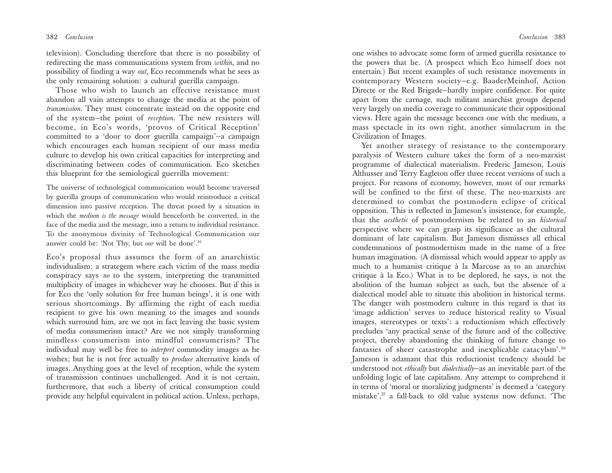television). Concluding therefore that there is no possibility of redirecting the mass communications system from *within,* and no possibility of finding a way *out,* Eco recommends what he sees as the only remaining solution: a cultural guerilla campaign.

Those who wish to launch an effective resistance must abandon all vain attempts to change the media at the point of *transmission*. They must concentrate instead on the opposite end of the system—the point of *reception*. The new resisters will become, in Eco's words, 'provos of Critical Reception' committed to a 'door to door guerilla campaign'—a campaign which encourages each human recipient of our mass media culture to develop his own critical capacities for interpreting and discriminating between codes of communication. Eco sketches this blueprint for the semiological guerrilla movement:

The universe of technological communication would become traversed by guerilla groups of communication who would reintroduce a critical dimension into passive reception. The threat posed by a situation in which the *medium is the message* would henceforth be converted, in the face of the media and the message, into a return to individual resistance. To the anonymous divinity of Technological Communication our answer could be: 'Not Thy, but *our* will be done'.35

Eco's proposal thus assumes the form of an anarchistic individualism: a strategem where each victim of the mass media conspiracy says *no* to the system, interpreting the transmitted multiplicity of images in whichever way he chooses. But if this is for Eco the 'only solution for free human beings', it is one with serious shortcomings. By affirming the right of each media recipient to give his own meaning to the images and sounds which surround him, are we not in fact leaving the basic system of media consumerism intact? Are we not simply transforming mindless consumerism into mindful consumerism? The individual may well be free to *interpret* commodity images as he wishes; but he is not free actually to *produce* alternative kinds of images. Anything goes at the level of reception, while the system of transmission continues unchallenged. And it is not certain, furthermore, that such a liberty of critical consumption could provide any helpful equivalent in political action. Unless, perhaps,

one wishes to advocate some form of armed guerilla resistance to the powers that be. (A prospect which Eco himself does not entertain.) But recent examples of such resistance movements in contemporary Western society—e.g. BaaderMeinhof, Action Directe or the Red Brigade—hardly inspire confidence. For quite apart from the carnage, such militant anarchist groups depend very largely on media coverage to communicate their oppositional views. Here again the message becomes one with the medium, a mass spectacle in its own right, another simulacrum in the Civilization of Images.

Yet another strategy of resistance to the contemporary paralysis of Western culture takes the form of a neo-marxist programme of dialectical materialism. Frederic Jameson, Louis Althusser and Terry Eagleton offer three recent versions of such a project. For reasons of economy, however, most of our remarks will be confined to the first of these. The neo-marxists are determined to combat the postmodern eclipse of critical opposition. This is reflected in Jameson's insistence, for example, that the *aesthetic* of postmodernism be related to an *historical* perspective where we can grasp its significance as the cultural dominant of late capitalism. But Jameson dismisses all ethical condemnations of postmodernism made in the name of a free human imagination. (A dismissal which would appear to apply as much to a humanist critique à la Marcuse as to an anarchist critique à la Eco.) What is to be deplored, he says, is not the abolition of the human subject as such, but the absence of a dialectical model able to situate this abolition in historical terms. The danger with postmodern culture in this regard is that its 'image addiction' serves to reduce historical reality to Visual images, stereotypes or texts': a reductionism which effectively precludes 'any practical sense of the future and of the collective project, thereby abandoning the thinking of future change to fantasies of sheer catastrophe and inexplicable catacylsm'.36 Jameson is adamant that this reductionist tendency should be understood not *ethically* but *dialectically*—as an inevitable part of the unfolding logic of late capitalism. Any attempt to comprehend it in terms of 'moral or moralizing judgments' is deemed a 'category mistake',<sup>37</sup> a fall-back to old value systems now defunct. 'The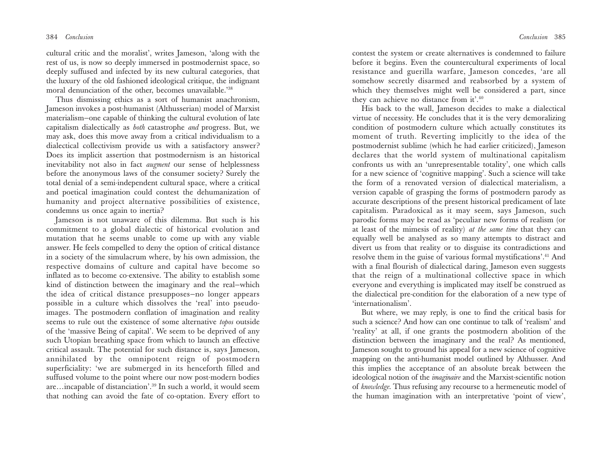cultural critic and the moralist', writes Jameson, 'along with the rest of us, is now so deeply immersed in postmodernist space, so deeply suffused and infected by its new cultural categories, that the luxury of the old fashioned ideological critique, the indignant moral denunciation of the other, becomes unavailable.'38

Thus dismissing ethics as a sort of humanist anachronism, Jameson invokes a post-humanist (Althusserian) model of Marxist materialism—one capable of thinking the cultural evolution of late capitalism dialectically as *both* catastrophe *and* progress. But, we may ask, does this move away from a critical individualism to a dialectical collectivism provide us with a satisfactory answer? Does its implicit assertion that postmodernism is an historical inevitability not also in fact *augment* our sense of helplessness before the anonymous laws of the consumer society? Surely the total denial of a semi-independent cultural space, where a critical and poetical imagination could contest the dehumanization of humanity and project alternative possibilities of existence, condemns us once again to inertia?

Jameson is not unaware of this dilemma. But such is his commitment to a global dialectic of historical evolution and mutation that he seems unable to come up with any viable answer. He feels compelled to deny the option of critical distance in a society of the simulacrum where, by his own admission, the respective domains of culture and capital have become so inflated as to become co-extensive. The ability to establish some kind of distinction between the imaginary and the real—which the idea of critical distance presupposes—no longer appears possible in a culture which dissolves the 'real' into pseudoimages. The postmodern conflation of imagination and reality seems to rule out the existence of some alternative *topos* outside of the 'massive Being of capital'. We seem to be deprived of any such Utopian breathing space from which to launch an effective critical assault. The potential for such distance is, says Jameson, annihilated by the omnipotent reign of postmodern superficiality: 'we are submerged in its henceforth filled and suffused volume to the point where our now post-modern bodies are…incapable of distanciation'.39 In such a world, it would seem that nothing can avoid the fate of co-optation. Every effort to

contest the system or create alternatives is condemned to failure before it begins. Even the countercultural experiments of local resistance and guerilla warfare, Jameson concedes, 'are all somehow secretly disarmed and reabsorbed by a system of which they themselves might well be considered a part, since they can achieve no distance from it'.40

His back to the wall, Jameson decides to make a dialectical virtue of necessity. He concludes that it is the very demoralizing condition of postmodern culture which actually constitutes its moment of truth. Reverting implicitly to the idea of the postmodernist sublime (which he had earlier criticized), Jameson declares that the world system of multinational capitalism confronts us with an 'unrepresentable totality', one which calls for a new science of 'cognitive mapping'. Such a science will take the form of a renovated version of dialectical materialism, a version capable of grasping the forms of postmodern parody as accurate descriptions of the present historical predicament of late capitalism. Paradoxical as it may seem, says Jameson, such parodic forms may be read as 'peculiar new forms of realism (or at least of the mimesis of reality) *at the same time* that they can equally well be analysed as so many attempts to distract and divert us from that reality or to disguise its contradictions and resolve them in the guise of various formal mystifications'.41 And with a final flourish of dialectical daring, Jameson even suggests that the reign of a multinational collective space in which everyone and everything is implicated may itself be construed as the dialectical pre-condition for the elaboration of a new type of 'internationalism'.

But where, we may reply, is one to find the critical basis for such a science? And how can one continue to talk of 'realism' and 'reality' at all, if one grants the postmodern abolition of the distinction between the imaginary and the real? As mentioned, Jameson sought to ground his appeal for a new science of cognitive mapping on the anti-humanist model outlined by Althusser. And this implies the acceptance of an absolute break between the ideological notion of the *imaginaire* and the Marxist-scientific notion of *knowledge*. Thus refusing any recourse to a hermeneutic model of the human imagination with an interpretative 'point of view',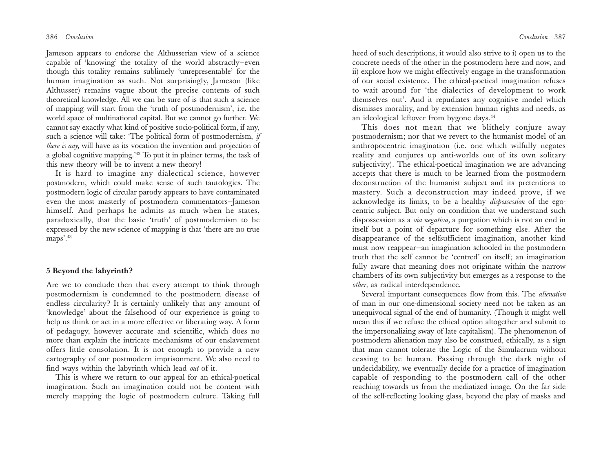Jameson appears to endorse the Althusserian view of a science capable of 'knowing' the totality of the world abstractly—even though this totality remains sublimely 'unrepresentable' for the human imagination as such. Not surprisingly, Jameson (like Althusser) remains vague about the precise contents of such theoretical knowledge. All we can be sure of is that such a science of mapping will start from the 'truth of postmodernism', i.e. the world space of multinational capital. But we cannot go further. We cannot say exactly what kind of positive socio-political form, if any, such a science will take: 'The political form of postmodernism, *if there is any,* will have as its vocation the invention and projection of a global cognitive mapping.'42 To put it in plainer terms, the task of this new theory will be to invent a new theory!

It is hard to imagine any dialectical science, however postmodern, which could make sense of such tautologies. The postmodern logic of circular parody appears to have contaminated even the most masterly of postmodern commentators—Jameson himself. And perhaps he admits as much when he states, paradoxically, that the basic 'truth' of postmodernism to be expressed by the new science of mapping is that 'there are no true maps'.43

#### **5 Beyond the labyrinth?**

Are we to conclude then that every attempt to think through postmodernism is condemned to the postmodern disease of endless circularity? It is certainly unlikely that any amount of 'knowledge' about the falsehood of our experience is going to help us think or act in a more effective or liberating way. A form of pedagogy, however accurate and scientific, which does no more than explain the intricate mechanisms of our enslavement offers little consolation. It is not enough to provide a new cartography of our postmodern imprisonment. We also need to find ways within the labyrinth which lead *out* of it.

This is where we return to our appeal for an ethical-poetical imagination. Such an imagination could not be content with merely mapping the logic of postmodern culture. Taking full

heed of such descriptions, it would also strive to i) open us to the concrete needs of the other in the postmodern here and now, and ii) explore how we might effectively engage in the transformation of our social existence. The ethical-poetical imagination refuses to wait around for 'the dialectics of development to work themselves out'. And it repudiates any cognitive model which dismisses morality, and by extension human rights and needs, as an ideological leftover from bygone days.<sup>44</sup>

This does not mean that we blithely conjure away postmodernism; nor that we revert to the humanist model of an anthropocentric imagination (i.e. one which wilfully negates reality and conjures up anti-worlds out of its own solitary subjectivity). The ethical-poetical imagination we are advancing accepts that there is much to be learned from the postmodern deconstruction of the humanist subject and its pretentions to mastery. Such a deconstruction may indeed prove, if we acknowledge its limits, to be a healthy *dispossession* of the egocentric subject. But only on condition that we understand such dispossession as a *via negativa,* a purgation which is not an end in itself but a point of departure for something else. After the disappearance of the selfsufficient imagination, another kind must now reappear—an imagination schooled in the postmodern truth that the self cannot be 'centred' on itself; an imagination fully aware that meaning does not originate within the narrow chambers of its own subjectivity but emerges as a response to the *other,* as radical interdependence.

Several important consequences flow from this. The *alienation* of man in our one-dimensional society need not be taken as an unequivocal signal of the end of humanity. (Though it might well mean this if we refuse the ethical option altogether and submit to the impersonalizing sway of late capitalism). The phenomenon of postmodern alienation may also be construed, ethically, as a sign that man cannot tolerate the Logic of the Simulacrum without ceasing to be human. Passing through the dark night of undecidability, we eventually decide for a practice of imagination capable of responding to the postmodern call of the other reaching towards us from the mediatized image. On the far side of the self-reflecting looking glass, beyond the play of masks and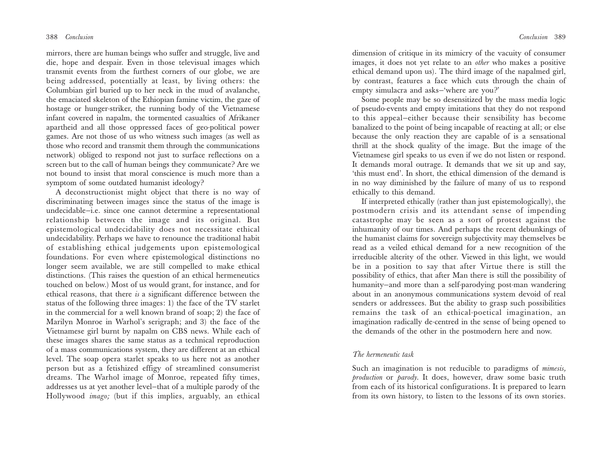mirrors, there are human beings who suffer and struggle, live and die, hope and despair. Even in those televisual images which transmit events from the furthest corners of our globe, we are being addressed, potentially at least, by living others: the Columbian girl buried up to her neck in the mud of avalanche, the emaciated skeleton of the Ethiopian famine victim, the gaze of hostage or hunger-striker, the running body of the Vietnamese infant covered in napalm, the tormented casualties of Afrikaner apartheid and all those oppressed faces of geo-political power games. Are not those of us who witness such images (as well as those who record and transmit them through the communications network) obliged to respond not just to surface reflections on a screen but to the call of human beings they communicate? Are we not bound to insist that moral conscience is much more than a symptom of some outdated humanist ideology?

A deconstructionist might object that there is no way of discriminating between images since the status of the image is undecidable—i.e. since one cannot determine a representational relationship between the image and its original. But epistemological undecidability does not necessitate ethical undecidability. Perhaps we have to renounce the traditional habit of establishing ethical judgements upon epistemological foundations. For even where epistemological distinctions no longer seem available, we are still compelled to make ethical distinctions. (This raises the question of an ethical hermeneutics touched on below.) Most of us would grant, for instance, and for ethical reasons, that there *is* a significant difference between the status of the following three images: 1) the face of the TV starlet in the commercial for a well known brand of soap; 2) the face of Marilyn Monroe in Warhol's serigraph; and 3) the face of the Vietnamese girl burnt by napalm on CBS news. While each of these images shares the same status as a technical reproduction of a mass communications system, they are different at an ethical level. The soap opera starlet speaks to us here not as another person but as a fetishized effigy of streamlined consumerist dreams. The Warhol image of Monroe, repeated fifty times, addresses us at yet another level—that of a multiple parody of the Hollywood *imago;* (but if this implies, arguably, an ethical

dimension of critique in its mimicry of the vacuity of consumer images, it does not yet relate to an *other* who makes a positive ethical demand upon us). The third image of the napalmed girl, by contrast, features a face which cuts through the chain of empty simulacra and asks—'where are you?'

Some people may be so desensitized by the mass media logic of pseudo-events and empty imitations that they do not respond to this appeal—either because their sensibility has become banalized to the point of being incapable of reacting at all; or else because the only reaction they are capable of is a sensational thrill at the shock quality of the image. But the image of the Vietnamese girl speaks to us even if we do not listen or respond. It demands moral outrage. It demands that we sit up and say, 'this must end'. In short, the ethical dimension of the demand is in no way diminished by the failure of many of us to respond ethically to this demand.

If interpreted ethically (rather than just epistemologically), the postmodern crisis and its attendant sense of impending catastrophe may be seen as a sort of protest against the inhumanity of our times. And perhaps the recent debunkings of the humanist claims for sovereign subjectivity may themselves be read as a veiled ethical demand for a new recognition of the irreducible alterity of the other. Viewed in this light, we would be in a position to say that after Virtue there is still the possibility of ethics, that after Man there is still the possibility of humanity—and more than a self-parodying post-man wandering about in an anonymous communications system devoid of real senders or addressees. But the ability to grasp such possibilities remains the task of an ethical-poetical imagination, an imagination radically de-centred in the sense of being opened to the demands of the other in the postmodern here and now.

## *The hermeneutic task*

Such an imagination is not reducible to paradigms of *mimesis, production* or *parody*. It does, however, draw some basic truth from each of its historical configurations. It is prepared to learn from its own history, to listen to the lessons of its own stories.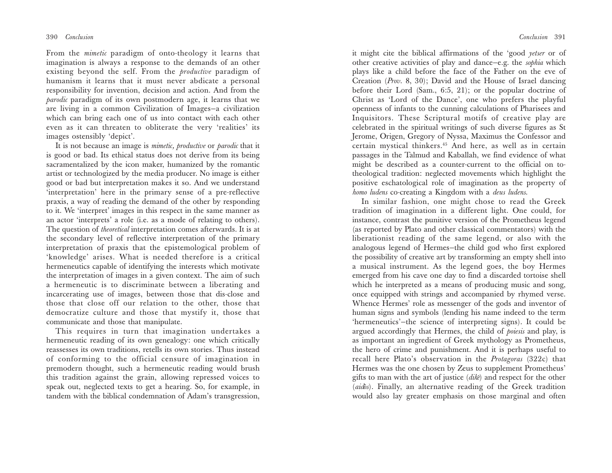From the *mimetic* paradigm of onto-theology it learns that imagination is always a response to the demands of an other existing beyond the self. From the *productive* paradigm of humanism it learns that it must never abdicate a personal responsibility for invention, decision and action. And from the *parodic* paradigm of its own postmodern age, it learns that we are living in a common Civilization of Images—a civilization which can bring each one of us into contact with each other even as it can threaten to obliterate the very 'realities' its images ostensibly 'depict'.

It is not because an image is *mimetic, productive* or *parodic* that it is good or bad. Its ethical status does not derive from its being sacramentalized by the icon maker, humanized by the romantic artist or technologized by the media producer. No image is either good or bad but interpretation makes it so. And we understand 'interpretation' here in the primary sense of a pre-reflective praxis, a way of reading the demand of the other by responding to it. We 'interpret' images in this respect in the same manner as an actor 'interprets' a role (i.e. as a mode of relating to others). The question of *theoretical* interpretation comes afterwards. It is at the secondary level of reflective interpretation of the primary interpretation of praxis that the epistemological problem of 'knowledge' arises. What is needed therefore is a critical hermeneutics capable of identifying the interests which motivate the interpretation of images in a given context. The aim of such a hermeneutic is to discriminate between a liberating and incarcerating use of images, between those that dis-close and those that close off our relation to the other, those that democratize culture and those that mystify it, those that communicate and those that manipulate.

This requires in turn that imagination undertakes a hermeneutic reading of its own genealogy: one which critically reassesses its own traditions, retells its own stories. Thus instead of conforming to the official censure of imagination in premodern thought, such a hermeneutic reading would brush this tradition against the grain, allowing repressed voices to speak out, neglected texts to get a hearing. So, for example, in tandem with the biblical condemnation of Adam's transgression,

it might cite the biblical affirmations of the 'good *yetser* or of other creative activities of play and dance—e.g. the *sophia* which plays like a child before the face of the Father on the eve of Creation (*Prov*. 8, 30); David and the House of Israel dancing before their Lord (Sam., 6:5, 21); or the popular doctrine of Christ as 'Lord of the Dance', one who prefers the playful openness of infants to the cunning calculations of Pharisees and Inquisitors. These Scriptural motifs of creative play are celebrated in the spiritual writings of such diverse figures as St Jerome, Origen, Gregory of Nyssa, Maximus the Confessor and certain mystical thinkers.45 And here, as well as in certain passages in the Talmud and Kaballah, we find evidence of what might be described as a counter-current to the official on totheological tradition: neglected movements which highlight the positive eschatological role of imagination as the property of *homo ludens* co-creating a Kingdom with a *deus ludens*.

In similar fashion, one might chose to read the Greek tradition of imagination in a different light. One could, for instance, contrast the punitive version of the Prometheus legend (as reported by Plato and other classical commentators) with the liberationist reading of the same legend, or also with the analogous legend of Hermes—the child god who first explored the possibility of creative art by transforming an empty shell into a musical instrument. As the legend goes, the boy Hermes emerged from his cave one day to find a discarded tortoise shell which he interpreted as a means of producing music and song, once equipped with strings and accompanied by rhymed verse. Whence Hermes' role as messenger of the gods and inventor of human signs and symbols (lending his name indeed to the term 'hermeneutics'—the science of interpreting signs). It could be argued accordingly that Hermes, the child of *poiesis* and play, is as important an ingredient of Greek mythology as Prometheus, the hero of crime and punishment. And it is perhaps useful to recall here Plato's observation in the *Protagoras* (322c) that Hermes was the one chosen by Zeus to supplement Prometheus' gifts to man with the art of justice (dike) and respect for the other (*aidos*). Finally, an alternative reading of the Greek tradition would also lay greater emphasis on those marginal and often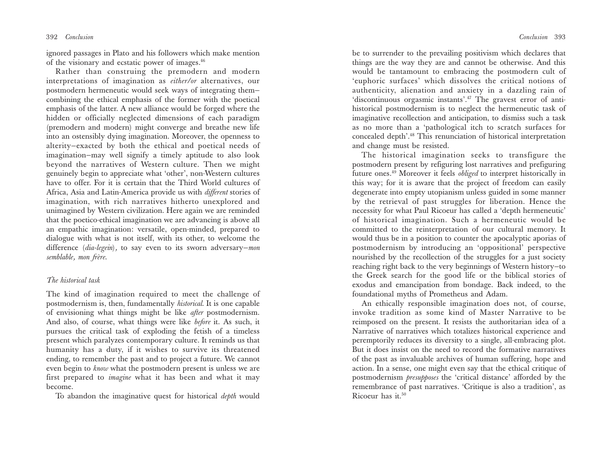ignored passages in Plato and his followers which make mention of the visionary and ecstatic power of images.46

Rather than construing the premodern and modern interpretations of imagination as *either/or* alternatives, our postmodern hermeneutic would seek ways of integrating them combining the ethical emphasis of the former with the poetical emphasis of the latter. A new alliance would be forged where the hidden or officially neglected dimensions of each paradigm (premodern and modern) might converge and breathe new life into an ostensibly dying imagination. Moreover, the openness to alterity—exacted by both the ethical and poetical needs of imagination—may well signify a timely aptitude to also look beyond the narratives of Western culture. Then we might genuinely begin to appreciate what 'other', non-Western cultures have to offer. For it is certain that the Third World cultures of Africa, Asia and Latin-America provide us with *different* stories of imagination, with rich narratives hitherto unexplored and unimagined by Western civilization. Here again we are reminded that the poetico-ethical imagination we are advancing is above all an empathic imagination: versatile, open-minded, prepared to dialogue with what is not itself, with its other, to welcome the difference (*dia-legein*)*,* to say even to its sworn adversary—*mon semblable, mon frère*.

## *The historical task*

The kind of imagination required to meet the challenge of postmodernism is, then, fundamentally *historical*. It is one capable of envisioning what things might be like *after* postmodernism. And also, of course, what things were like *before* it. As such, it pursues the critical task of exploding the fetish of a timeless present which paralyzes contemporary culture. It reminds us that humanity has a duty, if it wishes to survive its threatened ending, to remember the past and to project a future. We cannot even begin to *know* what the postmodern present is unless we are first prepared to *imagine* what it has been and what it may become.

To abandon the imaginative quest for historical *depth* would

be to surrender to the prevailing positivism which declares that things are the way they are and cannot be otherwise. And this would be tantamount to embracing the postmodern cult of 'euphoric surfaces' which dissolves the critical notions of authenticity, alienation and anxiety in a dazzling rain of 'discontinuous orgasmic instants'.47 The gravest error of antihistorical postmodernism is to neglect the hermeneutic task of imaginative recollection and anticipation, to dismiss such a task as no more than a 'pathological itch to scratch surfaces for concealed depth'.48 This renunciation of historical interpretation and change must be resisted.

The historical imagination seeks to transfigure the postmodern present by refiguring lost narratives and prefiguring future ones.49 Moreover it feels *obliged* to interpret historically in this way; for it is aware that the project of freedom can easily degenerate into empty utopianism unless guided in some manner by the retrieval of past struggles for liberation. Hence the necessity for what Paul Ricoeur has called a 'depth hermeneutic' of historical imagination. Such a hermeneutic would be committed to the reinterpretation of our cultural memory. It would thus be in a position to counter the apocalyptic aporias of postmodernism by introducing an 'oppositional' perspective nourished by the recollection of the struggles for a just society reaching right back to the very beginnings of Western history—to the Greek search for the good life or the biblical stories of exodus and emancipation from bondage. Back indeed, to the foundational myths of Prometheus and Adam.

An ethically responsible imagination does not, of course, invoke tradition as some kind of Master Narrative to be reimposed on the present. It resists the authoritarian idea of a Narrative of narratives which totalizes historical experience and peremptorily reduces its diversity to a single, all-embracing plot. But it does insist on the need to record the formative narratives of the past as invaluable archives of human suffering, hope and action. In a sense, one might even say that the ethical critique of postmodernism *presupposes* the 'critical distance' afforded by the remembrance of past narratives. 'Critique is also a tradition', as Ricoeur has it.<sup>50</sup>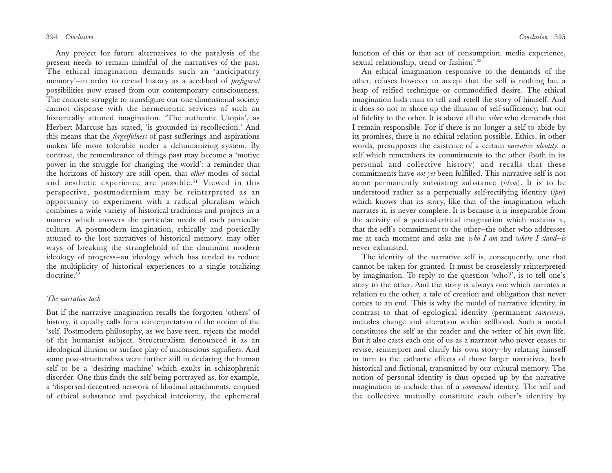Any project for future alternatives to the paralysis of the present needs to remain mindful of the narratives of the past. The ethical imagination demands such an 'anticipatory memory'—in order to reread history as a seed-bed of *prefigured* possibilities now erased from our contemporary consciousness. The concrete struggle to transfigure our one-dimensional society cannot dispense with the hermeneutic services of such an historically attuned imagination. 'The authentic Utopia', as Herbert Marcuse has stated, 'is grounded in recollection.' And this means that the *forgetfulness* of past sufferings and aspirations makes life more tolerable under a dehumanizing system. By contrast, the remembrance of things past may become a 'motive power in the struggle for changing the world': a reminder that the horizons of history are still open, that *other* modes of social and aesthetic experience are possible.<sup>51</sup> Viewed in this perspective, postmodernism may be reinterpreted as an opportunity to experiment with a radical pluralism which combines a wide variety of historical traditions and projects in a manner which answers the particular needs of each particular culture. A postmodern imagination, ethically and poetically attuned to the lost narratives of historical memory, may offer ways of breaking the stranglehold of the dominant modern ideology of progress—an ideology which has tended to reduce the multiplicity of historical experiences to a single totalizing doctrine.<sup>52</sup>

## *The narrative task*

But if the narrative imagination recalls the forgotten 'others' of history, it equally calls for a reinterpretation of the notion of the 'self. Postmodern philosophy, as we have seen, rejects the model of the humanist subject. Structuralism denounced it as an ideological illusion or surface play of unconscious signifiers. And some post-structuralists went further still in declaring the human self to be a 'desiring machine' which exults in schizophrenic disorder. One thus finds the self being portrayed as, for example, a 'dispersed decentred network of libidinal attachments, emptied of ethical substance and psychical interiority, the ephemeral

function of this or that act of consumption, media experience, sexual relationship, trend or fashion'.<sup>53</sup>

An ethical imagination responsive to the demands of the other, refuses however to accept that the self is nothing but a heap of reified technique or commodified desire. The ethical imagination bids man to tell and retell the story of himself. And it does so not to shore up the illusion of self-sufficiency, but out of fidelity to the other. It is above all the *other* who demands that I remain responsible. For if there is no longer a self to abide by its promises, there is no ethical relation possible. Ethics, in other words, presupposes the existence of a certain *narrative identity*: a self which remembers its commitments to the other (both in its personal and collective history) and recalls that these commitments have *not yet* been fulfilled. This narrative self is not some permanently subsisting substance (*idem*). It is to be understood rather as a perpetually self-rectifying identity (*ipse*) which knows that its story, like that of the imagination which narrates it, is never complete. It is because it is inseparable from the activity of a poetical-critical imagination which sustains it, that the self's commitment to the other—the other who addresses me at each moment and asks me *who I am* and *where I stand—is* never exhausted.

The identity of the narrative self is, consequently, one that cannot be taken for granted. It must be ceaselessly reinterpreted by imagination. To reply to the question 'who?', is to tell one's story to the other. And the story is always one which narrates a relation to the other, a tale of creation and obligation that never comes to an end. This is why the model of narrative identity, in contrast to that of egological identity (permanent *sameness*), includes change and alteration within selfhood. Such a model constitutes the self as the reader and the writer of his own life. But it also casts each one of us as a narrator who never ceases to revise, reinterpret and clarify his own story—by relating himself in turn to the cathartic effects of those larger narratives, both historical and fictional, transmitted by our cultural memory. The notion of personal identity is thus opened up by the narrative imagination to include that of a *communal* identity. The self and the collective mutually constitute each other's identity by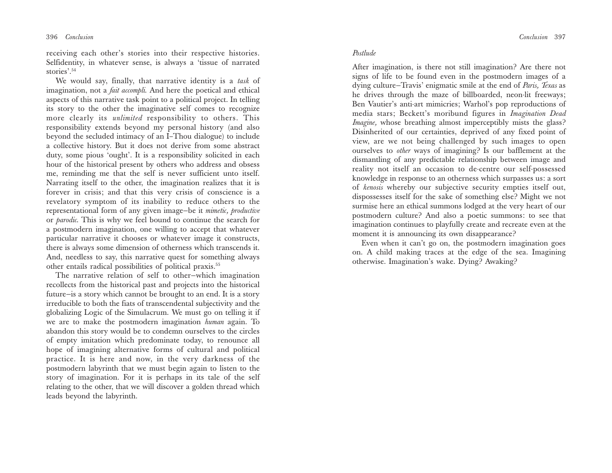receiving each other's stories into their respective histories. Selfidentity, in whatever sense, is always a 'tissue of narrated stories'.54

We would say, finally, that narrative identity is a *task* of imagination, not a *fait accompli*. And here the poetical and ethical aspects of this narrative task point to a political project. In telling its story to the other the imaginative self comes to recognize more clearly its *unlimited* responsibility to others. This responsibility extends beyond my personal history (and also beyond the secluded intimacy of an I–Thou dialogue) to include a collective history. But it does not derive from some abstract duty, some pious 'ought'. It is a responsibility solicited in each hour of the historical present by others who address and obsess me, reminding me that the self is never sufficient unto itself. Narrating itself to the other, the imagination realizes that it is forever in crisis; and that this very crisis of conscience is a revelatory symptom of its inability to reduce others to the representational form of any given image—be it *mimetic, productive* or *parodic*. This is why we feel bound to continue the search for a postmodern imagination, one willing to accept that whatever particular narrative it chooses or whatever image it constructs, there is always some dimension of otherness which transcends it. And, needless to say, this narrative quest for something always other entails radical possibilities of political praxis.55

The narrative relation of self to other—which imagination recollects from the historical past and projects into the historical future—is a story which cannot be brought to an end. It is a story irreducible to both the fiats of transcendental subjectivity and the globalizing Logic of the Simulacrum. We must go on telling it if we are to make the postmodern imagination *human* again. To abandon this story would be to condemn ourselves to the circles of empty imitation which predominate today, to renounce all hope of imagining alternative forms of cultural and political practice. It is here and now, in the very darkness of the postmodern labyrinth that we must begin again to listen to the story of imagination. For it is perhaps in its tale of the self relating to the other, that we will discover a golden thread which leads beyond the labyrinth.

#### *Postlude*

After imagination, is there not still imagination? Are there not signs of life to be found even in the postmodern images of a dying culture—Travis' enigmatic smile at the end of *Paris, Texas* as he drives through the maze of billboarded, neon-lit freeways; Ben Vautier's anti-art mimicries; Warhol's pop reproductions of media stars; Beckett's moribund figures in *Imagination Dead Imagine*, whose breathing almost imperceptibly mists the glass? Disinherited of our certainties, deprived of any fixed point of view, are we not being challenged by such images to open ourselves to *other* ways of imagining? Is our bafflement at the dismantling of any predictable relationship between image and reality not itself an occasion to de-centre our self-possessed knowledge in response to an otherness which surpasses us: a sort of *kenosis* whereby our subjective security empties itself out, dispossesses itself for the sake of something else? Might we not surmise here an ethical summons lodged at the very heart of our postmodern culture? And also a poetic summons: to see that imagination continues to playfully create and recreate even at the moment it is announcing its own disappearance?

Even when it can't go on, the postmodern imagination goes on. A child making traces at the edge of the sea. Imagining otherwise. Imagination's wake. Dying? Awaking?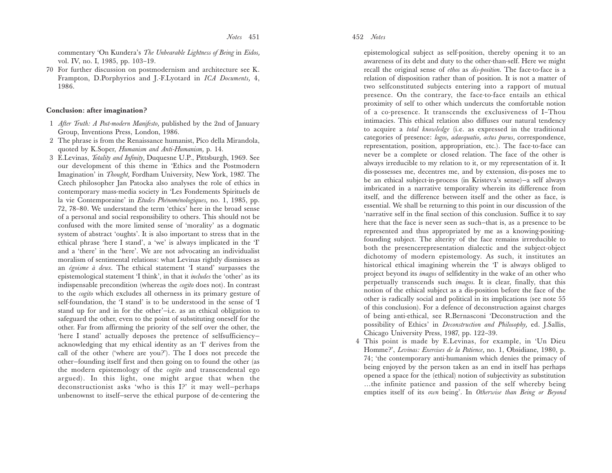commentary 'On Kundera's *The Unbearable Lightness of Being* in *Eidos,* vol. IV, no. I, 1985, pp. 103–19.

70 For further discussion on postmodernism and architecture see K. Frampton, D.Porphyrios and J.-F.Lyotard in *ICA Documents,* 4, 1986.

#### **Conclusion: after imagination?**

- 1 *After Truth: A Post-modern Manifesto,* published by the 2nd of January Group, Inventions Press, London, 1986.
- 2 The phrase is from the Renaissance humanist, Pico della Mirandola, quoted by K.Soper, *Humanism and Anti-Humanism,* p. 14.
- 3 E.Levinas, *Totality and Infinity,* Duquesne U.P., Pittsburgh, 1969. See our development of this theme in 'Ethics and the Postmodern Imagination' in *Thought,* Fordham University, New York, 1987. The Czech philosopher Jan Patocka also analyses the role of ethics in contemporary mass-media society in 'Les Fondements Spirituels de la vie Contemporaine' in *Etudes Phénoménologiques,* no. 1, 1985, pp. 72, 78–80. We understand the term 'ethics' here in the broad sense of a personal and social responsibility to others. This should not be confused with the more limited sense of 'morality' as a dogmatic system of abstract 'oughts'. It is also important to stress that in the ethical phrase 'here I stand', a 'we' is always implicated in the 'I' and a 'there' in the 'here'. We are not advocating an individualist moralism of sentimental relations: what Levinas rightly dismisses as an *égoisme à deux*. The ethical statement 'I stand' surpasses the epistemological statement 'I think', in that it *includes* the 'other' as its indispensable precondition (whereas the *cogito* does not). In contrast to the *cogito* which excludes all otherness in its primary gesture of self-foundation, the 'I stand' is to be understood in the sense of 'I stand up for and in for the other'—i.e. as an ethical obligation to safeguard the other, even to the point of substituting oneself for the other. Far from affirming the priority of the self over the other, the 'here I stand' actually deposes the pretence of selfsufficiency acknowledging that my ethical identity as an 'I' derives from the call of the other ('where are you?'). The I does not precede the other—founding itself first and then going on to found the other (as the modern epistemology of the *cogito* and transcendental ego argued). In this light, one might argue that when the deconstructionist asks 'who is this I?' it may well—perhaps unbenownst to itself—serve the ethical purpose of de-centering the

epistemological subject as self-position, thereby opening it to an awareness of its debt and duty to the other-than-self. Here we might recall the original sense of *ethos* as *dis-position*. The face-to-face is a relation of disposition rather than of position. It is not a matter of two selfconstituted subjects entering into a rapport of mutual presence. On the contrary, the face-to-face entails an ethical proximity of self to other which undercuts the comfortable notion of a co-presence. It transcends the exclusiveness of I–Thou intimacies. This ethical relation also diffuses our natural tendency to acquire a *total knowledge* (i.e. as expressed in the traditional categories of presence: *logos, adaequatio, actus purus,* correspondence, representation, position, appropriation, etc.). The face-to-face can never be a complete or closed relation. The face of the other is always irreducible to my relation to it, or my representation of it. It dis-possesses me, decentres me, and by extension, dis-poses me to be an ethical subject-in-process (in Kristeva's sense)—a self always imbricated in a narrative temporality wherein its difference from itself, and the difference between itself and the other as face, is essential. We shall be returning to this point in our discussion of the 'narrative self in the final section of this conclusion. Suffice it to say here that the face is never seen as such—that is, as a presence to be represented and thus appropriated by me as a knowing-positingfounding subject. The alterity of the face remains irrreducible to both the presencerepresentation dialectic and the subject-object dichotomy of modern epistemology. As such, it institutes an historical ethical imagining wherein the 'I' is always obliged to project beyond its *imagos* of selfidentity in the wake of an other who perpetually transcends such *imagos*. It is clear, finally, that this notion of the ethical subject as a dis-position before the face of the other is radically social and political in its implications (see note 55 of this conclusion). For a defence of deconstruction against charges of being anti-ethical, see R.Bernasconi 'Deconstruction and the possibility of Ethics' in *Deconstruction and Philosophy,* ed. J.Sallis, Chicago University Press, 1987, pp. 122–39.

4 This point is made by E.Levinas, for example, in 'Un Dieu Homme?', *Levinas: Exercises de la Patience,* no. 1, Obsidiane, 1980, p. 74; 'the contemporary anti-humanism which denies the primacy of being enjoyed by the person taken as an end in itself has perhaps opened a space for the (ethical) notion of subjectivity as substitution …the infinite patience and passion of the self whereby being empties itself of its *own* being'. In *Otherwise than Being or Beyond*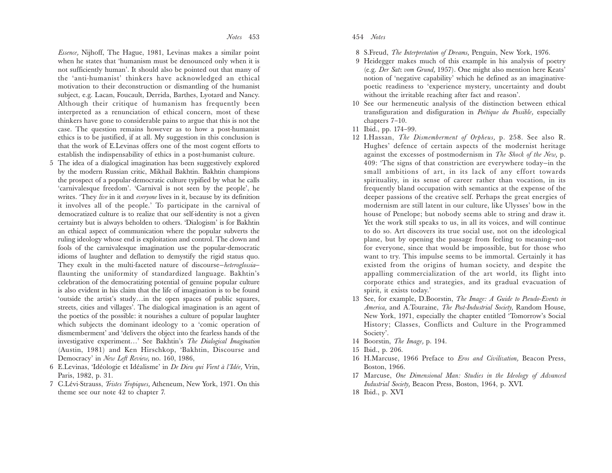*Essence,* Nijhoff, The Hague, 1981, Levinas makes a similar point when he states that 'humanism must be denounced only when it is not sufficiently human'. It should also be pointed out that many of the 'anti-humanist' thinkers have acknowledged an ethical motivation to their deconstruction or dismantling of the humanist subject, e.g. Lacan, Foucault, Derrida, Barthes, Lyotard and Nancy. Although their critique of humanism has frequently been interpreted as a renunciation of ethical concern, most of these thinkers have gone to considerable pains to argue that this is not the case. The question remains however as to how a post-humanist ethics is to be justified, if at all. My suggestion in this conclusion is that the work of E.Levinas offers one of the most cogent efforts to establish the indispensability of ethics in a post-humanist culture.

- 5 The idea of a dialogical imagination has been suggestively explored by the modern Russian critic, Mikhail Bakhtin. Bakhtin champions the prospect of a popular-democratic culture typified by what he calls 'carnivalesque freedom'. 'Carnival is not seen by the people', he writes. 'They *live* in it and *everyone* lives in it, because by its definition it involves all of the people.' To participate in the carnival of democratized culture is to realize that our self-identity is not a given certainty but is always beholden to others. 'Dialogism' is for Bakhtin an ethical aspect of communication where the popular subverts the ruling ideology whose end is exploitation and control. The clown and fools of the carnivalesque imagination use the popular-democratic idioms of laughter and deflation to demystify the rigid status quo. They exult in the multi-faceted nature of discourse—*heteroglossia* flaunting the uniformity of standardized language. Bakhtin's celebration of the democratizing potential of genuine popular culture is also evident in his claim that the life of imagination is to be found 'outside the artist's study…in the open spaces of public squares, streets, cities and villages'. The dialogical imagination is an agent of the poetics of the possible: it nourishes a culture of popular laughter which subjects the dominant ideology to a 'comic operation of dismemberment' and 'delivers the object into the fearless hands of the investigative experiment…' See Bakhtin's *The Dialogical Imagination* (Austin, 1981) and Ken Hirschkop, 'Bakhtin, Discourse and Democracy' in *New Left Review,* no. 160, 1986,
- 6 E.Levinas, 'Idéologie et Idéalisme' in *De Dieu qui Vient à l'Idée,* Vrin, Paris, 1982, p. 31.
- 7 C.Lévi-Strauss, *Tristes Tropiques,* Atheneum, New York, 1971. On this theme see our note 42 to chapter 7.
- 454 *Notes*
- 8 S.Freud, *The Interpretation of Dreams,* Penguin, New York, 1976.
- 9 Heidegger makes much of this example in his analysis of poetry (e.g. *Der Satz vom Grund,* 1957). One might also mention here Keats' notion of 'negative capability' which he defined as an imaginativepoetic readiness to 'experience mystery, uncertainty and doubt without the irritable reaching after fact and reason'.
- 10 See our hermeneutic analysis of the distinction between ethical transfiguration and disfiguration in *Poétique du Possible,* especially chapters 7–10.
- 11 Ibid., pp. 174–99.
- 12 I.Hassan, *The Dismemberment of Orpheus,* p. 258. See also R. Hughes' defence of certain aspects of the modernist heritage against the excesses of postmodernism in *The Shock of the New,* p. 409: 'The signs of that constriction are everywhere today—in the small ambitions of art, in its lack of any effort towards spirituality, in its sense of career rather than vocation, in its frequently bland occupation with semantics at the expense of the deeper passions of the creative self. Perhaps the great energies of modernism are still latent in our culture, like Ulysses' bow in the house of Penelope; but nobody seems able to string and draw it. Yet the work still speaks to us, in all its voices, and will continue to do so. Art discovers its true social use, not on the ideological plane, but by opening the passage from feeling to meaning—not for everyone, since that would be impossible, but for those who want to try. This impulse seems to be immortal. Certainly it has existed from the origins of human society, and despite the appalling commercialization of the art world, its flight into corporate ethics and strategies, and its gradual evacuation of spirit, it exists today.'
- 13 See, for example, D.Boorstin, *The Image: A Guide to Pseudo-Events in America,* and A.Touraine, *The Post-Industrial Society,* Random House, New York, 1971, especially the chapter entitled 'Tomorrow's Social History; Classes, Conflicts and Culture in the Programmed Society'.
- 14 Boorstin, *The Image,* p. 194.
- 15 Ibid., p. 206.
- 16 H.Marcuse, 1966 Preface to *Eros and Civilization,* Beacon Press, Boston, 1966.
- 17 Marcuse, *One Dimensional Man: Studies in the Ideology of Advanced Industrial Society,* Beacon Press, Boston, 1964, p. XVI.
- 18 Ibid., p. XVI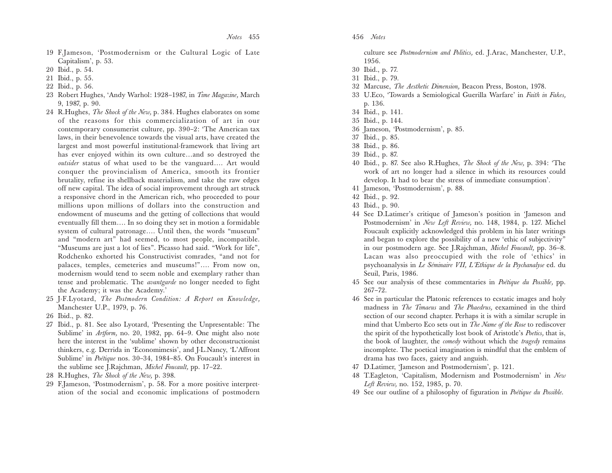- 19 F.Jameson, 'Postmodernism or the Cultural Logic of Late Capitalism', p. 53.
- 20 Ibid., p. 54.
- 21 Ibid., p. 55.
- 22 Ibid., p. 56.
- 23 Robert Hughes, 'Andy Warhol: 1928–1987, in *Time Magazine,* March 9, 1987, p. 90.
- 24 R.Hughes, *The Shock of the New,* p. 384. Hughes elaborates on some of the reasons for this commercialization of art in our contemporary consumerist culture, pp. 390–2: 'The American tax laws, in their benevolence towards the visual arts, have created the largest and most powerful institutional-framework that living art has ever enjoyed within its own culture…and so destroyed the *outsider* status of what used to be the vanguard…. Art would conquer the provincialism of America, smooth its frontier brutality, refine its shellback materialism, and take the raw edges off new capital. The idea of social improvement through art struck a responsive chord in the American rich, who proceeded to pour millions upon millions of dollars into the construction and endowment of museums and the getting of collections that would eventually fill them…. In so doing they set in motion a formidable system of cultural patronage…. Until then, the words "museum" and "modern art" had seemed, to most people, incompatible. "Museums are just a lot of lies". Picasso had said. "Work for life", Rodchenko exhorted his Constructivist comrades, "and not for palaces, temples, cemeteries and museums!"…. From now on, modernism would tend to seem noble and exemplary rather than tense and problematic. The *avantgarde* no longer needed to fight the Academy; it was the Academy.'
- 25 J-F.Lyotard, *The Postmodern Condition: A Report on Knowledge,* Manchester U.P., 1979, p. 76.
- 26 Ibid., p. 82.
- 27 Ibid., p. 81. See also Lyotard, 'Presenting the Unpresentable: The Sublime' in *Artform,* no. 20, 1982, pp. 64–9. One might also note here the interest in the 'sublime' shown by other deconstructionist thinkers, e.g. Derrida in 'Economimesis', and J-L.Nancy, 'L'Affront Sublime' in *Poétique* nos. 30–34, 1984–85. On Foucault's interest in the sublime see J.Rajchman, *Michel Foucault,* pp. 17–22.
- 28 R.Hughes, *The Shock of the New,* p. 398.
- 29 F.Jameson, 'Postmodernism', p. 58. For a more positive interpretation of the social and economic implications of postmodern

456 *Notes*

culture see *Postmodernism and Politics,* ed. J.Arac, Manchester, U.P., 1956.

- 30 Ibid., p. 77.
- 31 Ibid., p. 79.
- 32 Marcuse, *The Aesthetic Dimension,* Beacon Press, Boston, 1978.
- 33 U.Eco, 'Towards a Semiological Guerilla Warfare' in *Faith in Fakes,* p. 136.
- 34 Ibid., p. 141.
- 35 Ibid., p. 144.
- 36 Jameson, 'Postmodernism', p. 85.
- 37 Ibid., p. 85.
- 38 Ibid., p. 86.
- 39 Ibid., p. 87.
- 40 Ibid., p. 87. See also R.Hughes, *The Shock of the New,* p. 394: 'The work of art no longer had a silence in which its resources could develop. It had to bear the stress of immediate consumption'.
- 41 Jameson, 'Postmodernism', p. 88.
- 42 Ibid., p. 92.
- 43 Ibid., p. 90.
- 44 See D.Latimer's critique of Jameson's position in 'Jameson and Postmodernism' in *New Left Review,* no. 148, 1984, p. 127. Michel Foucault explicitly acknowledged this problem in his later writings and began to explore the possibility of a new 'ethic of subjectivity" in our postmodern age. See J.Rajchman, *Michel Foucault,* pp. 36–8. Lacan was also preoccupied with the role of 'ethics' in psychoanalysis in *Le Séminaire VII, L'Ethique de la Psychanalyse* ed. du Seuil, Paris, 1986.
- 45 See our analysis of these commentaries in *Poétique du Possible,* pp. 267–72.
- 46 See in particular the Platonic references to ecstatic images and holy madness in *The Timaeus* and *The Phaedrus,* eexamined in the third section of our second chapter. Perhaps it is with a similar scruple in mind that Umberto Eco sets out in *The Name of the Rose* to rediscover the spirit of the hypothetically lost book of Aristotle's *Poetics,* that is, the book of laughter, the *comedy* without which the *tragedy* remains incomplete. The poetical imagination is mindful that the emblem of drama has two faces, gaiety and anguish.
- 47 D.Latimer, 'Jameson and Postmodernism', p. 121.
- 48 T.Eagleton, 'Capitalism, Modernism and Postmodernism' in *New Left Review,* no. 152, 1985, p. 70.
- 49 See our outline of a philosophy of figuration in *Poétique du Possible*.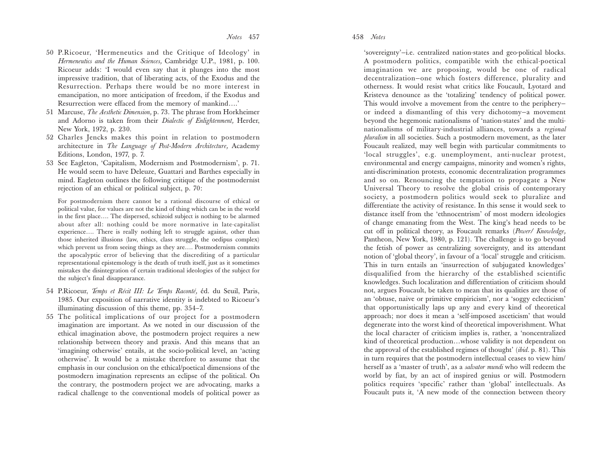- 50 P.Ricoeur, 'Hermeneutics and the Critique of Ideology' in *Hermeneutics and the Human Sciences,* Cambridge U.P., 1981, p. 100. Ricoeur adds: 'I would even say that it plunges into the most impressive tradition, that of liberating acts, of the Exodus and the Resurrection. Perhaps there would be no more interest in emancipation, no more anticipation of freedom, if the Exodus and Resurrection were effaced from the memory of mankind….'
- 51 Marcuse, *The Aesthetic Dimension,* p. 73. The phrase from Horkheimer and Adorno is taken from their *Dialectic of Enlightenment,* Herder, New York, 1972, p. 230.
- 52 Charles Jencks makes this point in relation to postmodern architecture in *The Language of Post-Modern Architecture,* Academy Editions, London, 1977, p. 7.
- 53 See Eagleton, 'Capitalism, Modernism and Postmodernism', p. 71. He would seem to have Deleuze, Guattari and Barthes especially in mind. Eagleton outlines the following critique of the postmodernist rejection of an ethical or political subject, p. 70:

For postmodernism there cannot be a rational discourse of ethical or political value, for values are not the kind of thing which can be in the world in the first place…. The dispersed, schizoid subject is nothing to be alarmed about after all: nothing could be more normative in late-capitalist experience…. There is really nothing left to struggle against, other than those inherited illusions (law, ethics, class struggle, the oedipus complex) which prevent us from seeing things as they are…. Postmodernism commits the apocalyptic error of believing that the discrediting of a particular representational epistemology is the death of truth itself, just as it sometimes mistakes the disintegration of certain traditional ideologies of the subject for the subject's final disappearance.

- 54 P.Ricoeur, *Temps et Récit III: Le Temps Raconté,* éd. du Seuil, Paris, 1985. Our exposition of narrative identity is indebted to Ricoeur's illuminating discussion of this theme, pp. 354–7.
- 55 The political implications of our project for a postmodern imagination are important. As we noted in our discussion of the ethical imagination above, the postmodern project requires a new relationship between theory and praxis. And this means that an 'imagining otherwise' entails, at the socio-political level, an 'acting otherwise'. It would be a mistake therefore to assume that the emphasis in our conclusion on the ethical/poetical dimensions of the postmodern imagination represents an eclipse of the political. On the contrary, the postmodern project we are advocating, marks a radical challenge to the conventional models of political power as

458 *Notes*

'sovereignty'—i.e. centralized nation-states and geo-political blocks. A postmodern politics, compatible with the ethical-poetical imagination we are proposing, would be one of radical decentralization—one which fosters difference, plurality and otherness. It would resist what critics like Foucault, Lyotard and Kristeva denounce as the 'totalizing' tendency of political power. This would involve a movement from the centre to the periphery or indeed a dismantling of this very dichotomy—a movement beyond the hegemonic nationalisms of 'nation-states' and the multinationalisms of military-industrial alliances, towards a *regional pluralism* in all societies. Such a postmodern movement, as the later Foucault realized, may well begin with particular commitments to 'local struggles', e.g. unemployment, anti-nuclear protest, environmental and energy campaigns, minority and women's rights, anti-discrimination protests, economic decentralization programmes and so on. Renouncing the temptation to propagate a New Universal Theory to resolve the global crisis of contemporary society, a postmodern politics would seek to pluralize and differentiate the activity of resistance. In this sense it would seek to distance itself from the 'ethnocentrism' of most modern ideologies of change emanating from the West. The king's head needs to be cut off in political theory, as Foucault remarks (*Power/ Knowledge,* Pantheon, New York, 1980, p. 121). The challenge is to go beyond the fetish of power as centralizing sovereignty, and its attendant notion of 'global theory', in favour of a 'local' struggle and criticism. This in turn entails an 'insurrection of subjugated knowledges' disqualified from the hierarchy of the established scientific knowledges. Such localization and differentiation of criticism should not, argues Foucault, be taken to mean that its qualities are those of an 'obtuse, naive or primitive empiricism', nor a 'soggy eclecticism' that opportunistically laps up any and every kind of theoretical approach; nor does it mean a 'self-imposed asceticism' that would degenerate into the worst kind of theoretical impoverishment. What the local character of criticism implies is, rather, a 'noncentralized kind of theoretical production...whose validity is not dependent on the approval of the established regimes of thought' (*ibid.* p. 81). This in turn requires that the postmodern intellectual ceases to view him/ herself as a 'master of truth', as a *salvator mundi* who will redeem the world by fiat, by an act of inspired genius or will. Postmodern politics requires 'specific' rather than 'global' intellectuals. As Foucault puts it, 'A new mode of the connection between theory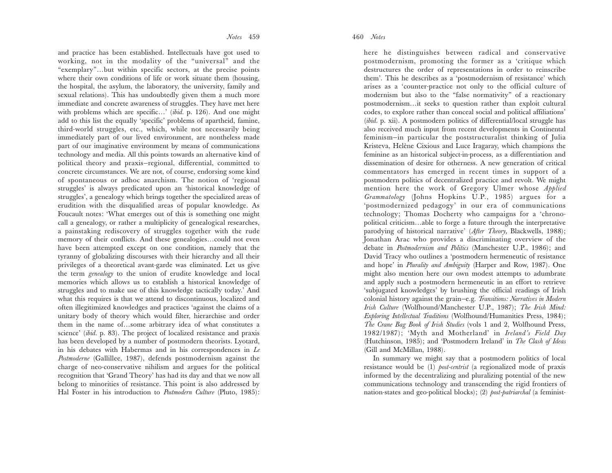and practice has been established. Intellectuals have got used to working, not in the modality of the "universal" and the "exemplary"…but within specific sectors, at the precise points where their own conditions of life or work situate them (housing, the hospital, the asylum, the laboratory, the university, family and sexual relations). This has undoubtedly given them a much more immediate and concrete awareness of struggles. They have met here with problems which are specific…' (*ibid.* p. 126). And one might add to this list the equally 'specific' problems of apartheid, famine, third-world struggles, etc., which, while not necessarily being immediately part of our lived environment, are nontheless made part of our imaginative environment by means of communications technology and media. All this points towards an alternative kind of political theory and praxis—regional, differential, committed to concrete circumstances. We are not, of course, endorsing some kind of spontaneous or adhoc anarchism. The notion of 'regional struggles' is always predicated upon an 'historical knowledge of struggles', a genealogy which brings together the specialized areas of erudition with the disqualified areas of popular knowledge. As Foucault notes: 'What emerges out of this is something one might call a genealogy, or rather a multiplicity of genealogical researches, a painstaking rediscovery of struggles together with the rude memory of their conflicts. And these genealogies…could not even have been attempted except on one condition, namely that the tyranny of globalizing discourses with their hierarchy and all their privileges of a theoretical avant-garde was eliminated. Let us give the term *genealogy* to the union of erudite knowledge and local memories which allows us to establish a historical knowledge of struggles and to make use of this knowledge tactically today.' And what this requires is that we attend to discontinuous, localized and often illegitimized knowledges and practices 'against the claims of a unitary body of theory which would filter, hierarchise and order them in the name of…some arbitrary idea of what constitutes a science' (*ibid.* p. 83). The project of localized resistance and praxis has been developed by a number of postmodern theorists. Lyotard, in his debates with Habermas and in his correspondences in *Le Postmoderne* (Gallillee, 1987), defends postmodernism against the charge of neo-conservative nihilism and argues for the political recognition that 'Grand Theory' has had its day and that we now all belong to minorities of resistance. This point is also addressed by Hal Foster in his introduction to *Postmodern Culture* (Pluto, 1985):

here he distinguishes between radical and conservative postmodernism, promoting the former as a 'critique which destructures the order of representations in order to reinscribe them'. This he describes as a 'postmodernism of resistance' which arises as a 'counter-practice not only to the official culture of modernism but also to the "false normativity" of a reactionary postmodernism…it seeks to question rather than exploit cultural codes, to explore rather than conceal social and political affiliations' (*ibid.* p. xii). A postmodern politics of differential/local struggle has also received much input from recent developments in Continental feminism—in particular the poststructuralist thinking of Julia Kristeva, Helène Cixious and Luce Iragaray, which champions the feminine as an historical subject-in-process, as a differentiation and dissemination of desire for otherness. A new generation of critical commentators has emerged in recent times in support of a postmodern politics of decentralized practice and revolt. We might mention here the work of Gregory Ulmer whose *Applied Grammatology* (Johns Hopkins U.P., 1985) argues for a 'postmodernized pedagogy' in our era of communications technology; Thomas Docherty who campaigns for a 'chronopolitical criticism…able to forge a future through the interpretative parodying of historical narrative' (*After Theory,* Blackwells, 1988); Jonathan Arac who provides a discriminating overview of the debate in *Postmodernism and Politics* (Manchester U.P., 1986); and David Tracy who outlines a 'postmodern hermeneutic of resistance and hope' in *Plurality and Ambiguity* (Harper and Row, 1987). One might also mention here our own modest attempts to adumbrate and apply such a postmodern hermeneutic in an effort to retrieve 'subjugated knowledges' by brushing the official readings of Irish colonial history against the grain—e.g. *Transitions: Narratives in Modern Irish Culture* (Wolfhound/Manchester U.P., 1987); *The Irish Mind: Exploring Intellectual Traditions* (Wolfhound/Humanities Press, 1984); *The Crane Bag Book of Irish Studies* (vols 1 and 2, Wolfhound Press, 1982/1987); 'Myth and Motherland' in *Ireland's Field Day* (Hutchinson, 1985); and 'Postmodern Ireland' in *The Clash of Ideas* (Gill and McMillan, 1988).

In summary we might say that a postmodern politics of local resistance would be (1) *post-centrist* (a regionalized mode of praxis informed by the decentralizing and pluralizing potential of the new communications technology and transcending the rigid frontiers of nation-states and geo-political blocks); (2) *post-patriarchal* (a feminist